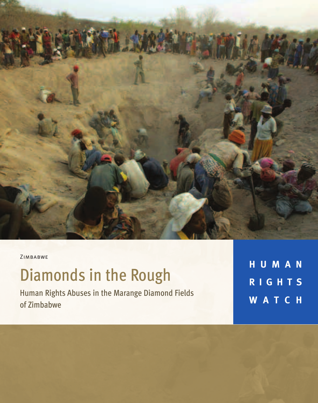

ZIMBABWE

# Diamonds in the Rough

Human Rights Abuses in the Marange Diamond Fields of Zimbabwe

**H U M A N R I G H T S W A T C H**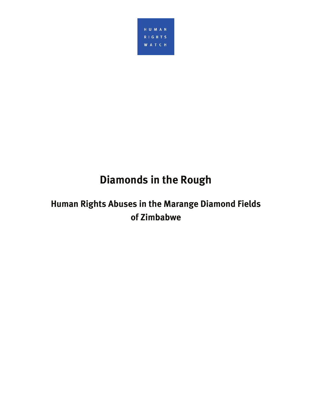

## **Diamonds in the Rough**

## **Human Rights Abuses in the Marange Diamond Fields of Zimbabwe**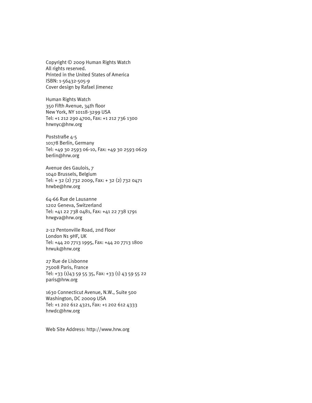Copyright © 2009 Human Rights Watch All rights reserved. Printed in the United States of America ISBN: 1-56432-505-9 Cover design by Rafael Jimenez

Human Rights Watch 350 Fifth Avenue, 34th floor New York, NY 10118-3299 USA Tel: +1 212 290 4700, Fax: +1 212 736 1300 hrwnyc@hrw.org

Poststraße 4-5 10178 Berlin, Germany Tel: +49 30 2593 06-10, Fax: +49 30 2593 0629 berlin@hrw.org

Avenue des Gaulois, 7 1040 Brussels, Belgium Tel: + 32 (2) 732 2009, Fax: + 32 (2) 732 0471 hrwbe@hrw.org

64-66 Rue de Lausanne 1202 Geneva, Switzerland Tel: +41 22 738 0481, Fax: +41 22 738 1791 hrwgva@hrw.org

2-12 Pentonville Road, 2nd Floor London N1 9HF, UK Tel: +44 20 7713 1995, Fax: +44 20 7713 1800 hrwuk@hrw.org

27 Rue de Lisbonne 75008 Paris, France Tel: +33 (1)43 59 55 35, Fax: +33 (1) 43 59 55 22 paris@hrw.org

1630 Connecticut Avenue, N.W., Suite 500 Washington, DC 20009 USA Tel: +1 202 612 4321, Fax: +1 202 612 4333 hrwdc@hrw.org

Web Site Address: http://www.hrw.org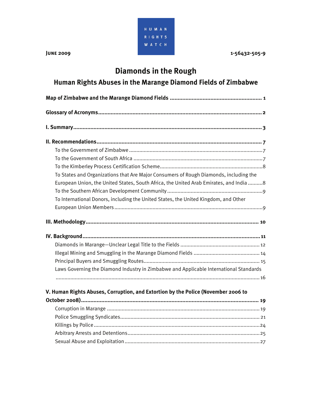

## **Diamonds in the Rough**

## **Human Rights Abuses in the Marange Diamond Fields of Zimbabwe**

| To States and Organizations that Are Major Consumers of Rough Diamonds, including the  |  |
|----------------------------------------------------------------------------------------|--|
| European Union, the United States, South Africa, the United Arab Emirates, and India 8 |  |
|                                                                                        |  |
| To International Donors, including the United States, the United Kingdom, and Other    |  |
|                                                                                        |  |
|                                                                                        |  |
|                                                                                        |  |
|                                                                                        |  |
|                                                                                        |  |
|                                                                                        |  |
| Laws Governing the Diamond Industry in Zimbabwe and Applicable International Standards |  |
|                                                                                        |  |
| V. Human Rights Abuses, Corruption, and Extortion by the Police (November 2006 to      |  |
|                                                                                        |  |
|                                                                                        |  |
|                                                                                        |  |
|                                                                                        |  |
|                                                                                        |  |
|                                                                                        |  |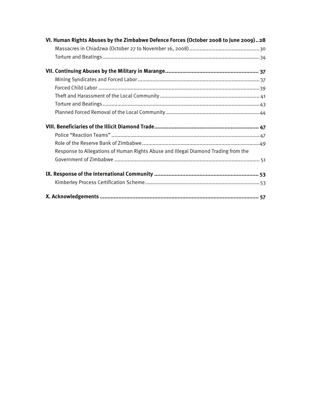| VI. Human Rights Abuses by the Zimbabwe Defence Forces (October 2008 to June 2009)28 |
|--------------------------------------------------------------------------------------|
|                                                                                      |
|                                                                                      |
|                                                                                      |
|                                                                                      |
|                                                                                      |
|                                                                                      |
|                                                                                      |
|                                                                                      |
|                                                                                      |
|                                                                                      |
|                                                                                      |
| Response to Allegations of Human Rights Abuse and Illegal Diamond Trading from the   |
|                                                                                      |
|                                                                                      |
|                                                                                      |
|                                                                                      |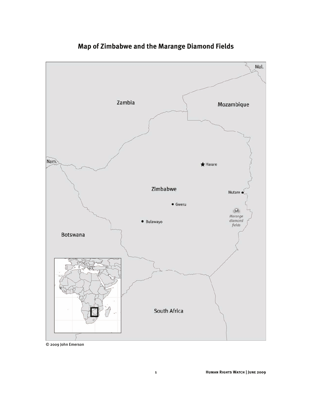

**Map of Zimbabwe and the Marange Diamond Fields** 

© 2009 John Emerson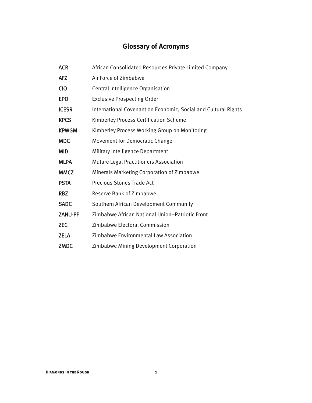## **Glossary of Acronyms**

| <b>ACR</b>     | African Consolidated Resources Private Limited Company         |
|----------------|----------------------------------------------------------------|
| <b>AFZ</b>     | Air Force of Zimbabwe                                          |
| <b>CIO</b>     | Central Intelligence Organisation                              |
| <b>EPO</b>     | <b>Exclusive Prospecting Order</b>                             |
| <b>ICESR</b>   | International Covenant on Economic, Social and Cultural Rights |
| <b>KPCS</b>    | Kimberley Process Certification Scheme                         |
| <b>KPWGM</b>   | Kimberley Process Working Group on Monitoring                  |
| <b>MDC</b>     | Movement for Democratic Change                                 |
| MID            | Military Intelligence Department                               |
| <b>MLPA</b>    | <b>Mutare Legal Practitioners Association</b>                  |
| <b>MMCZ</b>    | Minerals Marketing Corporation of Zimbabwe                     |
| <b>PSTA</b>    | <b>Precious Stones Trade Act</b>                               |
| <b>RBZ</b>     | <b>Reserve Bank of Zimbabwe</b>                                |
| <b>SADC</b>    | Southern African Development Community                         |
| <b>ZANU-PF</b> | Zimbabwe African National Union-Patriotic Front                |
| <b>ZEC</b>     | Zimbabwe Electoral Commission                                  |
| <b>ZELA</b>    | Zimbabwe Environmental Law Association                         |
| <b>ZMDC</b>    | Zimbabwe Mining Development Corporation                        |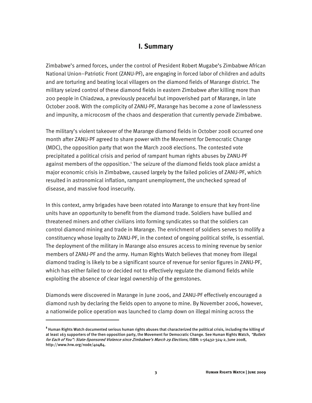#### **I. Summary**

Zimbabwe's armed forces, under the control of President Robert Mugabe's Zimbabwe African National Union–Patriotic Front (ZANU-PF), are engaging in forced labor of children and adults and are torturing and beating local villagers on the diamond fields of Marange district. The military seized control of these diamond fields in eastern Zimbabwe after killing more than 200 people in Chiadzwa, a previously peaceful but impoverished part of Marange, in late October 2008. With the complicity of ZANU-PF, Marange has become a zone of lawlessness and impunity, a microcosm of the chaos and desperation that currently pervade Zimbabwe.

The military's violent takeover of the Marange diamond fields in October 2008 occurred one month after ZANU-PF agreed to share power with the Movement for Democratic Change (MDC), the opposition party that won the March 2008 elections. The contested vote precipitated a political crisis and period of rampant human rights abuses by ZANU-PF against members of the opposition.<sup>1</sup> The seizure of the diamond fields took place amidst a major economic crisis in Zimbabwe, caused largely by the failed policies of ZANU-PF, which resulted in astronomical inflation, rampant unemployment, the unchecked spread of disease, and massive food insecurity.

In this context, army brigades have been rotated into Marange to ensure that key front-line units have an opportunity to benefit from the diamond trade. Soldiers have bullied and threatened miners and other civilians into forming syndicates so that the soldiers can control diamond mining and trade in Marange. The enrichment of soldiers serves to mollify a constituency whose loyalty to ZANU-PF, in the context of ongoing political strife, is essential. The deployment of the military in Marange also ensures access to mining revenue by senior members of ZANU-PF and the army. Human Rights Watch believes that money from illegal diamond trading is likely to be a significant source of revenue for senior figures in ZANU-PF, which has either failed to or decided not to effectively regulate the diamond fields while exploiting the absence of clear legal ownership of the gemstones.

Diamonds were discovered in Marange in June 2006, and ZANU-PF effectively encouraged a diamond rush by declaring the fields open to anyone to mine. By November 2006, however, a nationwide police operation was launched to clamp down on illegal mining across the

:

**<sup>1</sup>** Human Rights Watch documented serious human rights abuses that characterized the political crisis, including the killing of at least 163 supporters of the then opposition party, the Movement for Democratic Change. See Human Rights Watch, "Bullets for Each of You": State-Sponsored Violence since Zimbabwe's March 29 Elections, ISBN: 1-56432-324-2, June 2008, http://www.hrw.org/node/40484.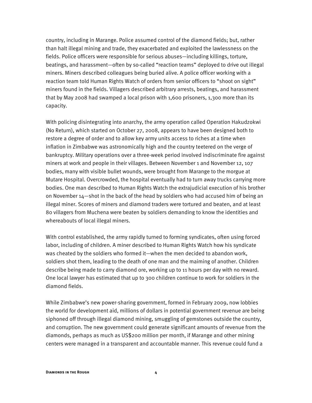country, including in Marange. Police assumed control of the diamond fields; but, rather than halt illegal mining and trade, they exacerbated and exploited the lawlessness on the fields. Police officers were responsible for serious abuses—including killings, torture, beatings, and harassment—often by so-called "reaction teams" deployed to drive out illegal miners. Miners described colleagues being buried alive. A police officer working with a reaction team told Human Rights Watch of orders from senior officers to "shoot on sight" miners found in the fields. Villagers described arbitrary arrests, beatings, and harassment that by May 2008 had swamped a local prison with 1,600 prisoners, 1,300 more than its capacity.

With policing disintegrating into anarchy, the army operation called Operation Hakudzokwi (No Return), which started on October 27, 2008, appears to have been designed both to restore a degree of order and to allow key army units access to riches at a time when inflation in Zimbabwe was astronomically high and the country teetered on the verge of bankruptcy. Military operations over a three-week period involved indiscriminate fire against miners at work and people in their villages. Between November 1 and November 12, 107 bodies, many with visible bullet wounds, were brought from Marange to the morgue at Mutare Hospital. Overcrowded, the hospital eventually had to turn away trucks carrying more bodies. One man described to Human Rights Watch the extrajudicial execution of his brother on November 14—shot in the back of the head by soldiers who had accused him of being an illegal miner. Scores of miners and diamond traders were tortured and beaten, and at least 80 villagers from Muchena were beaten by soldiers demanding to know the identities and whereabouts of local illegal miners.

With control established, the army rapidly turned to forming syndicates, often using forced labor, including of children. A miner described to Human Rights Watch how his syndicate was cheated by the soldiers who formed it—when the men decided to abandon work, soldiers shot them, leading to the death of one man and the maiming of another. Children describe being made to carry diamond ore, working up to 11 hours per day with no reward. One local lawyer has estimated that up to 300 children continue to work for soldiers in the diamond fields.

While Zimbabwe's new power-sharing government, formed in February 2009, now lobbies the world for development aid, millions of dollars in potential government revenue are being siphoned off through illegal diamond mining, smuggling of gemstones outside the country, and corruption. The new government could generate significant amounts of revenue from the diamonds, perhaps as much as US\$200 million per month, if Marange and other mining centers were managed in a transparent and accountable manner. This revenue could fund a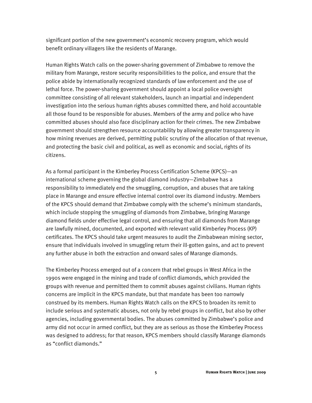significant portion of the new government's economic recovery program, which would benefit ordinary villagers like the residents of Marange.

Human Rights Watch calls on the power-sharing government of Zimbabwe to remove the military from Marange, restore security responsibilities to the police, and ensure that the police abide by internationally recognized standards of law enforcement and the use of lethal force. The power-sharing government should appoint a local police oversight committee consisting of all relevant stakeholders, launch an impartial and independent investigation into the serious human rights abuses committed there, and hold accountable all those found to be responsible for abuses. Members of the army and police who have committed abuses should also face disciplinary action for their crimes. The new Zimbabwe government should strengthen resource accountability by allowing greater transparency in how mining revenues are derived, permitting public scrutiny of the allocation of that revenue, and protecting the basic civil and political, as well as economic and social, rights of its citizens.

As a formal participant in the Kimberley Process Certification Scheme (KPCS)—an international scheme governing the global diamond industry—Zimbabwe has a responsibility to immediately end the smuggling, corruption, and abuses that are taking place in Marange and ensure effective internal control over its diamond industry. Members of the KPCS should demand that Zimbabwe comply with the scheme's minimum standards, which include stopping the smuggling of diamonds from Zimbabwe, bringing Marange diamond fields under effective legal control, and ensuring that all diamonds from Marange are lawfully mined, documented, and exported with relevant valid Kimberley Process (KP) certificates. The KPCS should take urgent measures to audit the Zimbabwean mining sector, ensure that individuals involved in smuggling return their ill-gotten gains, and act to prevent any further abuse in both the extraction and onward sales of Marange diamonds.

The Kimberley Process emerged out of a concern that rebel groups in West Africa in the 1990s were engaged in the mining and trade of conflict diamonds, which provided the groups with revenue and permitted them to commit abuses against civilians. Human rights concerns are implicit in the KPCS mandate, but that mandate has been too narrowly construed by its members. Human Rights Watch calls on the KPCS to broaden its remit to include serious and systematic abuses, not only by rebel groups in conflict, but also by other agencies, including governmental bodies. The abuses committed by Zimbabwe's police and army did not occur in armed conflict, but they are as serious as those the Kimberley Process was designed to address; for that reason, KPCS members should classify Marange diamonds as "conflict diamonds."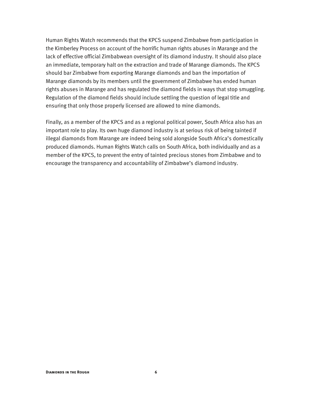Human Rights Watch recommends that the KPCS suspend Zimbabwe from participation in the Kimberley Process on account of the horrific human rights abuses in Marange and the lack of effective official Zimbabwean oversight of its diamond industry. It should also place an immediate, temporary halt on the extraction and trade of Marange diamonds. The KPCS should bar Zimbabwe from exporting Marange diamonds and ban the importation of Marange diamonds by its members until the government of Zimbabwe has ended human rights abuses in Marange and has regulated the diamond fields in ways that stop smuggling. Regulation of the diamond fields should include settling the question of legal title and ensuring that only those properly licensed are allowed to mine diamonds.

Finally, as a member of the KPCS and as a regional political power, South Africa also has an important role to play. Its own huge diamond industry is at serious risk of being tainted if illegal diamonds from Marange are indeed being sold alongside South Africa's domestically produced diamonds. Human Rights Watch calls on South Africa, both individually and as a member of the KPCS, to prevent the entry of tainted precious stones from Zimbabwe and to encourage the transparency and accountability of Zimbabwe's diamond industry.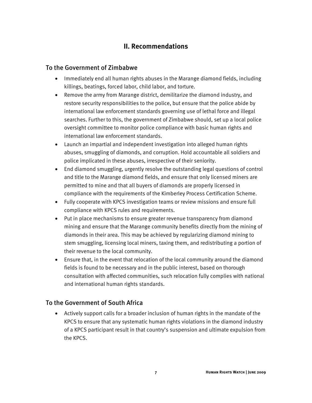### **II. Recommendations**

#### To the Government of Zimbabwe

- Immediately end all human rights abuses in the Marange diamond fields, including killings, beatings, forced labor, child labor, and torture.
- Remove the army from Marange district, demilitarize the diamond industry, and restore security responsibilities to the police, but ensure that the police abide by international law enforcement standards governing use of lethal force and illegal searches. Further to this, the government of Zimbabwe should, set up a local police oversight committee to monitor police compliance with basic human rights and international law enforcement standards.
- Launch an impartial and independent investigation into alleged human rights abuses, smuggling of diamonds, and corruption. Hold accountable all soldiers and police implicated in these abuses, irrespective of their seniority.
- End diamond smuggling, urgently resolve the outstanding legal questions of control and title to the Marange diamond fields, and ensure that only licensed miners are permitted to mine and that all buyers of diamonds are properly licensed in compliance with the requirements of the Kimberley Process Certification Scheme.
- Fully cooperate with KPCS investigation teams or review missions and ensure full compliance with KPCS rules and requirements.
- Put in place mechanisms to ensure greater revenue transparency from diamond mining and ensure that the Marange community benefits directly from the mining of diamonds in their area. This may be achieved by regularizing diamond mining to stem smuggling, licensing local miners, taxing them, and redistributing a portion of their revenue to the local community.
- Ensure that, in the event that relocation of the local community around the diamond fields is found to be necessary and in the public interest, based on thorough consultation with affected communities, such relocation fully complies with national and international human rights standards.

#### To the Government of South Africa

• Actively support calls for a broader inclusion of human rights in the mandate of the KPCS to ensure that any systematic human rights violations in the diamond industry of a KPCS participant result in that country's suspension and ultimate expulsion from the KPCS.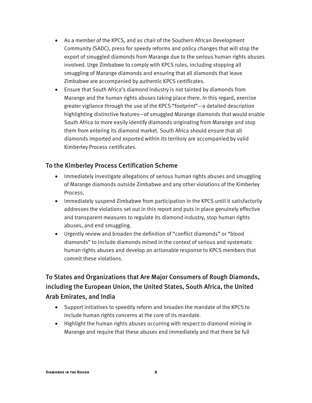- As a member of the KPCS, and as chair of the Southern African Development Community (SADC), press for speedy reforms and policy changes that will stop the export of smuggled diamonds from Marange due to the serious human rights abuses involved. Urge Zimbabwe to comply with KPCS rules, including stopping all smuggling of Marange diamonds and ensuring that all diamonds that leave Zimbabwe are accompanied by authentic KPCS certificates.
- Ensure that South Africa's diamond industry is not tainted by diamonds from Marange and the human rights abuses taking place there. In this regard, exercise greater vigilance through the use of the KPCS "footprint"—a detailed description highlighting distinctive features—of smuggled Marange diamonds that would enable South Africa to more easily identify diamonds originating from Marange and stop them from entering its diamond market. South Africa should ensure that all diamonds imported and exported within its territory are accompanied by valid Kimberley Process certificates.

#### To the Kimberley Process Certification Scheme

- Immediately investigate allegations of serious human rights abuses and smuggling of Marange diamonds outside Zimbabwe and any other violations of the Kimberley Process.
- Immediately suspend Zimbabwe from participation in the KPCS until it satisfactorily addresses the violations set out in this report and puts in place genuinely effective and transparent measures to regulate its diamond industry, stop human rights abuses, and end smuggling.
- Urgently review and broaden the definition of "conflict diamonds" or "blood diamonds" to include diamonds mined in the context of serious and systematic human rights abuses and develop an actionable response to KPCS members that commit these violations.

## To States and Organizations that Are Major Consumers of Rough Diamonds, including the European Union, the United States, South Africa, the United Arab Emirates, and India

- Support initiatives to speedily reform and broaden the mandate of the KPCS to include human rights concerns at the core of its mandate.
- Highlight the human rights abuses occurring with respect to diamond mining in Marange and require that these abuses end immediately and that there be full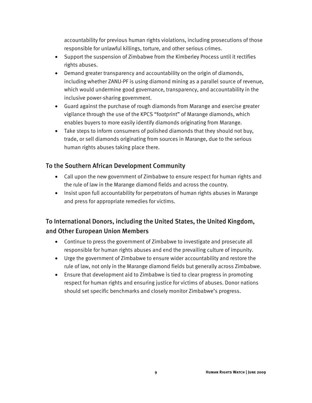accountability for previous human rights violations, including prosecutions of those responsible for unlawful killings, torture, and other serious crimes.

- Support the suspension of Zimbabwe from the Kimberley Process until it rectifies rights abuses.
- Demand greater transparency and accountability on the origin of diamonds, including whether ZANU-PF is using diamond mining as a parallel source of revenue, which would undermine good governance, transparency, and accountability in the inclusive power-sharing government.
- Guard against the purchase of rough diamonds from Marange and exercise greater vigilance through the use of the KPCS "footprint" of Marange diamonds, which enables buyers to more easily identify diamonds originating from Marange.
- Take steps to inform consumers of polished diamonds that they should not buy, trade, or sell diamonds originating from sources in Marange, due to the serious human rights abuses taking place there.

#### To the Southern African Development Community

- Call upon the new government of Zimbabwe to ensure respect for human rights and the rule of law in the Marange diamond fields and across the country.
- Insist upon full accountability for perpetrators of human rights abuses in Marange and press for appropriate remedies for victims.

### To International Donors, including the United States, the United Kingdom, and Other European Union Members

- Continue to press the government of Zimbabwe to investigate and prosecute all responsible for human rights abuses and end the prevailing culture of impunity.
- Urge the government of Zimbabwe to ensure wider accountability and restore the rule of law, not only in the Marange diamond fields but generally across Zimbabwe.
- Ensure that development aid to Zimbabwe is tied to clear progress in promoting respect for human rights and ensuring justice for victims of abuses. Donor nations should set specific benchmarks and closely monitor Zimbabwe's progress.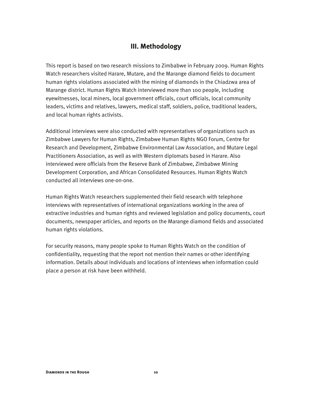#### **III. Methodology**

This report is based on two research missions to Zimbabwe in February 2009. Human Rights Watch researchers visited Harare, Mutare, and the Marange diamond fields to document human rights violations associated with the mining of diamonds in the Chiadzwa area of Marange district. Human Rights Watch interviewed more than 100 people, including eyewitnesses, local miners, local government officials, court officials, local community leaders, victims and relatives, lawyers, medical staff, soldiers, police, traditional leaders, and local human rights activists.

Additional interviews were also conducted with representatives of organizations such as Zimbabwe Lawyers for Human Rights, Zimbabwe Human Rights NGO Forum, Centre for Research and Development, Zimbabwe Environmental Law Association, and Mutare Legal Practitioners Association, as well as with Western diplomats based in Harare. Also interviewed were officials from the Reserve Bank of Zimbabwe, Zimbabwe Mining Development Corporation, and African Consolidated Resources. Human Rights Watch conducted all interviews one-on-one.

Human Rights Watch researchers supplemented their field research with telephone interviews with representatives of international organizations working in the area of extractive industries and human rights and reviewed legislation and policy documents, court documents, newspaper articles, and reports on the Marange diamond fields and associated human rights violations.

For security reasons, many people spoke to Human Rights Watch on the condition of confidentiality, requesting that the report not mention their names or other identifying information. Details about individuals and locations of interviews when information could place a person at risk have been withheld.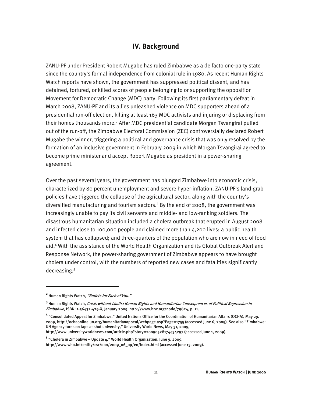#### **IV. Background**

ZANU-PF under President Robert Mugabe has ruled Zimbabwe as a de facto one-party state since the country's formal independence from colonial rule in 1980. As recent Human Rights Watch reports have shown, the government has suppressed political dissent, and has detained, tortured, or killed scores of people belonging to or supporting the opposition Movement for Democratic Change (MDC) party. Following its first parliamentary defeat in March 2008, ZANU-PF and its allies unleashed violence on MDC supporters ahead of a presidential run-off election, killing at least 163 MDC activists and injuring or displacing from their homes thousands more.<sup>2</sup> After MDC presidential candidate Morgan Tsvangirai pulled out of the run-off, the Zimbabwe Electoral Commission (ZEC) controversially declared Robert Mugabe the winner, triggering a political and governance crisis that was only resolved by the formation of an inclusive government in February 2009 in which Morgan Tsvangirai agreed to become prime minister and accept Robert Mugabe as president in a power-sharing agreement.

Over the past several years, the government has plunged Zimbabwe into economic crisis, characterized by 80 percent unemployment and severe hyper-inflation. ZANU-PF's land-grab policies have triggered the collapse of the agricultural sector, along with the country's diversified manufacturing and tourism sectors.<sup>3</sup> By the end of 2008, the government was increasingly unable to pay its civil servants and middle- and low-ranking soldiers. The disastrous humanitarian situation included a cholera outbreak that erupted in August 2008 and infected close to 100,000 people and claimed more than 4,200 lives; a public health system that has collapsed; and three-quarters of the population who are now in need of food aid.4 With the assistance of the World Health Organization and its Global Outbreak Alert and Response Network, the power-sharing government of Zimbabwe appears to have brought cholera under control, with the numbers of reported new cases and fatalities significantly decreasing.5

**<sup>2</sup>** Human Rights Watch, "Bullets for Each of You."

**<sup>3</sup>** Human Rights Watch, Crisis without Limits: Human Rights and Humanitarian Consequences of Political Repression in Zimbabwe, ISBN: 1-56432-429-X, January 2009, http://www.hrw.org/node/79824, p. 11.

**<sup>4</sup>** "Consolidated Appeal for Zimbabwe," United Nations Office for the Coordination of Humanitarian Affairs (OCHA), May 29, 2009, http://ochaonline.un.org/humanitarianappeal/webpage.asp?Page=1755 (accessed June 6, 2009). See also "Zimbabwe: UN Agency turns on taps at shut university," University World News, May 31, 2009, http://www.universityworldnews.com/article.php?story=20090528174434297 (accessed June 1, 2009).

<sup>&</sup>lt;sup>5</sup> "Cholera in Zimbabwe – Update 4," World Health Organization, June 9, 2009,

http://www.who.int/entity/csr/don/2009\_06\_09/en/index.html (accessed June 13, 2009).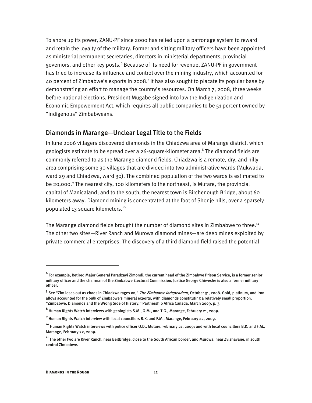To shore up its power, ZANU-PF since 2000 has relied upon a patronage system to reward and retain the loyalty of the military. Former and sitting military officers have been appointed as ministerial permanent secretaries, directors in ministerial departments, provincial governors, and other key posts.<sup>6</sup> Because of its need for revenue, ZANU-PF in government has tried to increase its influence and control over the mining industry, which accounted for 40 percent of Zimbabwe's exports in 2008.<sup>7</sup> It has also sought to placate its popular base by demonstrating an effort to manage the country's resources. On March 7, 2008, three weeks before national elections, President Mugabe signed into law the Indigenization and Economic Empowerment Act, which requires all public companies to be 51 percent owned by "indigenous" Zimbabweans.

#### Diamonds in Marange—Unclear Legal Title to the Fields

In June 2006 villagers discovered diamonds in the Chiadzwa area of Marange district, which geologists estimate to be spread over a 26-square-kilometer area.<sup>8</sup> The diamond fields are commonly referred to as the Marange diamond fields. Chiadzwa is a remote, dry, and hilly area comprising some 30 villages that are divided into two administrative wards (Mukwada, ward 29 and Chiadzwa, ward 30). The combined population of the two wards is estimated to be 20,000.<sup>9</sup> The nearest city, 100 kilometers to the northeast, is Mutare, the provincial capital of Manicaland; and to the south, the nearest town is Birchenough Bridge, about 60 kilometers away. Diamond mining is concentrated at the foot of Shonje hills, over a sparsely populated 13 square kilometers.10

The Marange diamond fields brought the number of diamond sites in Zimbabwe to three.<sup>11</sup> The other two sites—River Ranch and Murowa diamond mines—are deep mines exploited by private commercial enterprises. The discovery of a third diamond field raised the potential

**<sup>6</sup>** For example, Retired Major General Paradzayi Zimondi, the current head of the Zimbabwe Prison Service, is a former senior military officer and the chairman of the Zimbabwe Electoral Commission, Justice George Chiweshe is also a former military officer.

<sup>&</sup>lt;sup>7</sup> See "Zim loses out as chaos in Chiadzwa rages on," *The Zimbabwe Independent,* October 31, 2008. Gold, platinum, and iron alloys accounted for the bulk of Zimbabwe's mineral exports, with diamonds constituting a relatively small proportion. "Zimbabwe, Diamonds and the Wrong Side of History," Partnership Africa Canada, March 2009, p. 3.

**<sup>8</sup>** Human Rights Watch interviews with geologists S.M., G.M., and T.G., Marange, February 21, 2009.

**<sup>9</sup>** Human Rights Watch interview with local councillors B.K. and F.M., Marange, February 22, 2009.

**<sup>10</sup>** Human Rights Watch interviews with police officer O.D., Mutare, February 21, 2009; and with local councillors B.K. and F.M., Marange, February 22, 2009.

**<sup>11</sup>** The other two are River Ranch, near Beitbridge, close to the South African border, and Murowa, near Zvishavane, in south central Zimbabwe.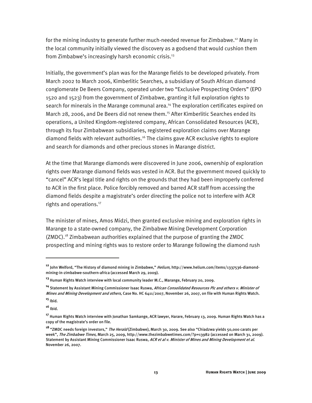for the mining industry to generate further much-needed revenue for Zimbabwe.<sup>12</sup> Many in the local community initially viewed the discovery as a godsend that would cushion them from Zimbabwe's increasingly harsh economic crisis.<sup>13</sup>

Initially, the government's plan was for the Marange fields to be developed privately. From March 2002 to March 2006, Kimberlitic Searches, a subsidiary of South African diamond conglomerate De Beers Company, operated under two "Exclusive Prospecting Orders" (EPO 1520 and 1523) from the government of Zimbabwe, granting it full exploration rights to search for minerals in the Marange communal area.<sup>14</sup> The exploration certificates expired on March 28, 2006, and De Beers did not renew them.<sup>15</sup> After Kimberlitic Searches ended its operations, a United Kingdom-registered company, African Consolidated Resources (ACR), through its four Zimbabwean subsidiaries, registered exploration claims over Marange diamond fields with relevant authorities.16 The claims gave ACR exclusive rights to explore and search for diamonds and other precious stones in Marange district.

At the time that Marange diamonds were discovered in June 2006, ownership of exploration rights over Marange diamond fields was vested in ACR. But the government moved quickly to "cancel" ACR's legal title and rights on the grounds that they had been improperly conferred to ACR in the first place. Police forcibly removed and barred ACR staff from accessing the diamond fields despite a magistrate's order directing the police not to interfere with ACR rights and operations.<sup>17</sup>

The minister of mines, Amos Midzi, then granted exclusive mining and exploration rights in Marange to a state-owned company, the Zimbabwe Mining Development Corporation (ZMDC).18 Zimbabwean authorities explained that the purpose of granting the ZMDC prospecting and mining rights was to restore order to Marange following the diamond rush

:

**<sup>12</sup>** John Welford, "The History of diamond mining in Zimbabwe," Helium, http://www.helium.com/items/1337536-diamondmining-in-zimbabwe-southern-africa (accessed March 29, 2009).

**<sup>13</sup>** Human Rights Watch interview with local community leader M.C., Marange, February 20, 2009.

**<sup>14</sup>** Statement by Assistant Mining Commissioner Isaac Ruswa, African Consolidated Resources Plc and others v. Minister of Mines and Mining Development and others, Case No. HC 6411/2007, November 26, 2007, on file with Human Rights Watch. **<sup>15</sup>** Ibid.

**<sup>16</sup>** Ibid.

**<sup>17</sup>** Human Rights Watch interview with Jonathan Samkange, ACR lawyer, Harare, February 13, 2009. Human Rights Watch has a copy of the magistrate's order on file.

**<sup>18</sup>** "ZMDC needs foreign investors," The Herald (Zimbabwe), March 30, 2009. See also "Chiadzwa yields 50,000 carats per week", *The Zimbabwe Times*, March 25, 2009, http://www.thezimbabwetimes.com/?p=13982 (accessed on March 31, 2009). Statement by Assistant Mining Commissioner Isaac Ruswa, ACR et al v. Minister of Mines and Mining Development et al. November 26, 2007.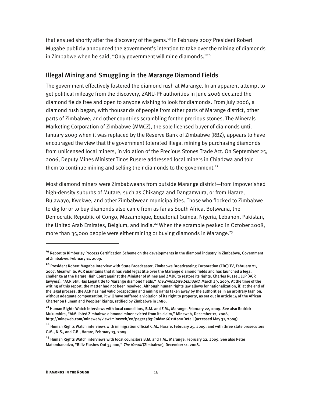that ensued shortly after the discovery of the gems.19 In February 2007 President Robert Mugabe publicly announced the government's intention to take over the mining of diamonds in Zimbabwe when he said, "Only government will mine diamonds."<sup>20</sup>

#### Illegal Mining and Smuggling in the Marange Diamond Fields

The government effectively fostered the diamond rush at Marange. In an apparent attempt to get political mileage from the discovery, ZANU-PF authorities in June 2006 declared the diamond fields free and open to anyone wishing to look for diamonds. From July 2006, a diamond rush began, with thousands of people from other parts of Marange district, other parts of Zimbabwe, and other countries scrambling for the precious stones. The Minerals Marketing Corporation of Zimbabwe (MMCZ), the sole licensed buyer of diamonds until January 2009 when it was replaced by the Reserve Bank of Zimbabwe (RBZ), appears to have encouraged the view that the government tolerated illegal mining by purchasing diamonds from unlicensed local miners, in violation of the Precious Stones Trade Act. On September 25, 2006, Deputy Mines Minister Tinos Rusere addressed local miners in Chiadzwa and told them to continue mining and selling their diamonds to the government. $21$ 

Most diamond miners were Zimbabweans from outside Marange district—from impoverished high-density suburbs of Mutare, such as Chikanga and Dangamvura, or from Harare, Bulawayo, Kwekwe, and other Zimbabwean municipalities. Those who flocked to Zimbabwe to dig for or to buy diamonds also came from as far as South Africa, Botswana, the Democratic Republic of Congo, Mozambique, Equatorial Guinea, Nigeria, Lebanon, Pakistan, the United Arab Emirates, Belgium, and India.<sup>22</sup> When the scramble peaked in October 2008, more than 35,000 people were either mining or buying diamonds in Marange.<sup>23</sup>

ֺ

**<sup>19</sup>** Report to Kimberley Process Certification Scheme on the developments in the diamond industry in Zimbabwe, Government of Zimbabwe, February 11, 2009.

**<sup>20</sup>** President Robert Mugabe Interview with State Broadcaster, Zimbabwe Broadcasting Corporation (ZBC) TV, February 21, 2007. Meanwhile, ACR maintains that it has valid legal title over the Marange diamond fields and has launched a legal challenge at the Harare High Court against the Minister of Mines and ZMDC to restore its rights. Charles Russell LLP (ACR lawyers), "ACR Still Has Legal title to Marange diamond fields," The Zimbabwe Standard, March 29, 2009. At the time of the writing of this report, the matter had not been resolved. Although human rights law allows for nationalization, if, at the end of the legal process, the ACR has had valid prospecting and mining rights taken away by the authorities in an arbitrary fashion, without adequate compensation, it will have suffered a violation of its right to property, as set out in article 14 of the African Charter on Human and Peoples' Rights, ratified by Zimbabwe in 1986.

**<sup>21</sup>** Human Rights Watch interviews with local councillors, B.M. and F.M., Marange, February 22, 2009. See also Rodrick Mukumbira, "AIM listed Zimbabwe diamond miner evicted from its claim," Mineweb, December 12, 2006, http://mineweb.com/mineweb/view/mineweb/en/page15831?oid=16611&sn=Detail (accessed May 31, 2009).

**<sup>22</sup>** Human Rights Watch interviews with immigration official C.M., Harare, February 25, 2009; and with three state prosecutors C.M., N.S., and C.B., Harare, February 13, 2009.

**<sup>23</sup>** Human Rights Watch interviews with local councilors B.M. and F.M., Marange, February 22, 2009. See also Peter Matambanadzo, "Blitz Flushes Out 35 000," The Herald (Zimbabwe), December 11, 2008.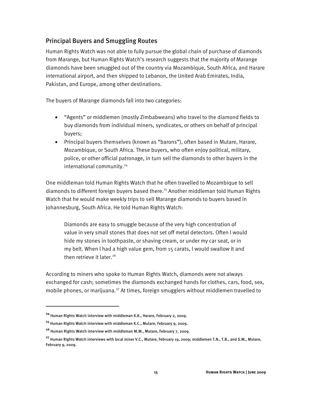#### Principal Buyers and Smuggling Routes

Human Rights Watch was not able to fully pursue the global chain of purchase of diamonds from Marange, but Human Rights Watch's research suggests that the majority of Marange diamonds have been smuggled out of the country via Mozambique, South Africa, and Harare international airport, and then shipped to Lebanon, the United Arab Emirates, India, Pakistan, and Europe, among other destinations.

The buyers of Marange diamonds fall into two categories:

- "Agents" or middlemen (mostly Zimbabweans) who travel to the diamond fields to buy diamonds from individual miners, syndicates, or others on behalf of principal buyers;
- Principal buyers themselves (known as "barons"), often based in Mutare, Harare, Mozambique, or South Africa. These buyers, who often enjoy political, military, police, or other official patronage, in turn sell the diamonds to other buyers in the international community.<sup>24</sup>

One middleman told Human Rights Watch that he often travelled to Mozambique to sell diamonds to different foreign buyers based there.<sup>25</sup> Another middleman told Human Rights Watch that he would make weekly trips to sell Marange diamonds to buyers based in Johannesburg, South Africa. He told Human Rights Watch:

Diamonds are easy to smuggle because of the very high concentration of value in very small stones that does not set off metal detectors. Often l would hide my stones in toothpaste, or shaving cream, or under my car seat, or in my belt. When l had a high value gem, from 15 carats, l would swallow it and then retrieve it later.<sup>26</sup>

According to miners who spoke to Human Rights Watch, diamonds were not always exchanged for cash; sometimes the diamonds exchanged hands for clothes, cars, food, sex, mobile phones, or marijuana.<sup>27</sup> At times, foreign smugglers without middlemen travelled to

 $\overline{a}$ 

**<sup>24</sup>** Human Rights Watch interview with middleman K.K., Harare, February 2, 2009.

**<sup>25</sup>** Human Rights Watch interview with middleman K.C., Mutare, February 9, 2009.

**<sup>26</sup>** Human Rights Watch interview with middleman M.M., Mutare, February 7, 2009.

**<sup>27</sup>** Human Rights Watch interviews with local miner V.C., Mutare, February 19, 2009; middlemen T.N., T.B., and S.M., Mutare, February 9, 2009.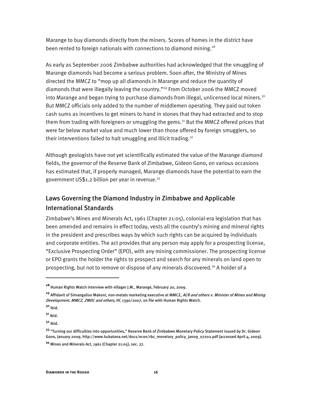Marange to buy diamonds directly from the miners. Scores of homes in the district have been rented to foreign nationals with connections to diamond mining.<sup>28</sup>

As early as September 2006 Zimbabwe authorities had acknowledged that the smuggling of Marange diamonds had become a serious problem. Soon after, the Ministry of Mines directed the MMCZ to "mop up all diamonds in Marange and reduce the quantity of diamonds that were illegally leaving the country."<sup>29</sup> From October 2006 the MMCZ moved into Marange and began trying to purchase diamonds from illegal, unlicensed local miners.<sup>30</sup> But MMCZ officials only added to the number of middlemen operating. They paid out token cash sums as incentives to get miners to hand in stones that they had extracted and to stop them from trading with foreigners or smuggling the gems.<sup>31</sup> But the MMCZ offered prices that were far below market value and much lower than those offered by foreign smugglers, so their interventions failed to halt smuggling and illicit trading.<sup>32</sup>

Although geologists have not yet scientifically estimated the value of the Marange diamond fields, the governor of the Reserve Bank of Zimbabwe, Gideon Gono, on various occasions has estimated that, if properly managed, Marange diamonds have the potential to earn the government US\$1.2 billion per year in revenue.  $33$ 

### Laws Governing the Diamond Industry in Zimbabwe and Applicable International Standards

Zimbabwe's Mines and Minerals Act, 1961 (Chapter 21:05), colonial-era legislation that has been amended and remains in effect today, vests all the country's mining and mineral rights in the president and prescribes ways by which such rights can be acquired by individuals and corporate entities. The act provides that any person may apply for a prospecting license, "Exclusive Prospecting Order" (EPO), with any mining commissioner. The prospecting license or EPO grants the holder the rights to prospect and search for any minerals on land open to prospecting, but not to remove or dispose of any minerals discovered.34 A holder of a

**<sup>28</sup>** Human Rights Watch interview with villager J.M., Marange, February 20, 2009.

**<sup>29</sup>** Affidavit of Simangaliso Makoni, non-metals marketing executive at MMCZ, ACR and others v. Minister of Mines and Mining Development, MMCZ, ZMDC and others, HC 1390/2007, on file with Human Rights Watch.

**<sup>30</sup>** Ibid.

**<sup>31</sup>** Ibid.

**<sup>32</sup>** Ibid.

**<sup>33</sup>** "Turning our difficulties into opportunities," Reserve Bank of Zimbabwe Monetary Policy Statement issued by Dr. Gideon Gono, January 2009, http://www.kubatana.net/docs/econ/rbz\_monetary\_policy\_jan09\_07202.pdf (accessed April 4, 2009).

**<sup>34</sup>** Mines and Minerals Act, 1961 (Chapter 21:05), sec. 27.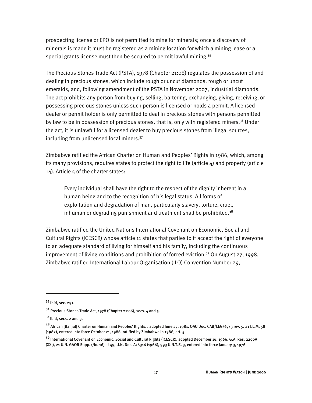prospecting license or EPO is not permitted to mine for minerals; once a discovery of minerals is made it must be registered as a mining location for which a mining lease or a special grants license must then be secured to permit lawful mining.<sup>35</sup>

The Precious Stones Trade Act (PSTA), 1978 (Chapter 21:06) regulates the possession of and dealing in precious stones, which include rough or uncut diamonds, rough or uncut emeralds, and, following amendment of the PSTA in November 2007, industrial diamonds. The act prohibits any person from buying, selling, bartering, exchanging, giving, receiving, or possessing precious stones unless such person is licensed or holds a permit. A licensed dealer or permit holder is only permitted to deal in precious stones with persons permitted by law to be in possession of precious stones, that is, only with registered miners.<sup>36</sup> Under the act, it is unlawful for a licensed dealer to buy precious stones from illegal sources, including from unlicensed local miners.37

Zimbabwe ratified the African Charter on Human and Peoples' Rights in 1986, which, among its many provisions, requires states to protect the right to life (article  $4$ ) and property (article 14). Article 5 of the charter states:

Every individual shall have the right to the respect of the dignity inherent in a human being and to the recognition of his legal status. All forms of exploitation and degradation of man, particularly slavery, torture, cruel, inhuman or degrading punishment and treatment shall be prohibited.**<sup>38</sup>**

Zimbabwe ratified the United Nations International Covenant on Economic, Social and Cultural Rights (ICESCR) whose article 11 states that parties to it accept the right of everyone to an adequate standard of living for himself and his family, including the continuous improvement of living conditions and prohibition of forced eviction.<sup>39</sup> On August 27, 1998, Zimbabwe ratified International Labour Organisation (ILO) Convention Number 29,

**<sup>35</sup>** Ibid, sec. 291.

**<sup>36</sup>** Precious Stones Trade Act, 1978 (Chapter 21:06), secs. 4 and 5.

**<sup>37</sup>** Ibid, secs. 2 and 3.

**<sup>38</sup>** African [Banjul] Charter on Human and Peoples' Rights, , adopted June 27, 1981, OAU Doc. CAB/LEG/67/3 rev. 5, 21 I.L.M. 58 (1982), entered into force October 21, 1986, ratified by Zimbabwe in 1986, art. 5.

**<sup>39</sup>** International Covenant on Economic, Social and Cultural Rights (ICESCR), adopted December 16, 1966, G.A. Res. 2200A (XXI), 21 U.N. GAOR Supp. (No. 16) at 49, U.N. Doc. A/6316 (1966), 993 U.N.T.S. 3, entered into force January 3, 1976.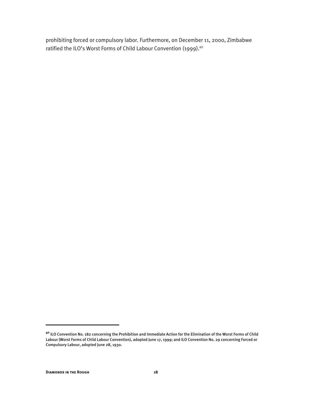prohibiting forced or compulsory labor. Furthermore, on December 11, 2000, Zimbabwe ratified the ILO's Worst Forms of Child Labour Convention (1999).<sup>40</sup>

**<sup>40</sup>** ILO Convention No. 182 concerning the Prohibition and Immediate Action for the Elimination of the Worst Forms of Child Labour (Worst Forms of Child Labour Convention), adopted June 17, 1999; and ILO Convention No. 29 concerning Forced or Compulsory Labour, adopted June 28, 1930.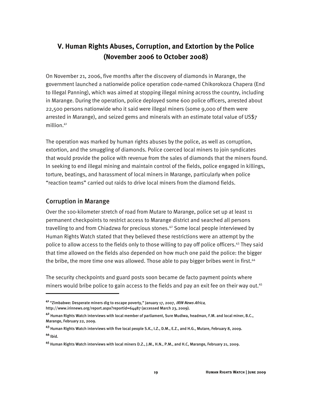## **V. Human Rights Abuses, Corruption, and Extortion by the Police (November 2006 to October 2008)**

On November 21, 2006, five months after the discovery of diamonds in Marange, the government launched a nationwide police operation code-named Chikorokoza Chapera (End to Illegal Panning), which was aimed at stopping illegal mining across the country, including in Marange. During the operation, police deployed some 600 police officers, arrested about 22,500 persons nationwide who it said were illegal miners (some 9,000 of them were arrested in Marange), and seized gems and minerals with an estimate total value of US\$7 million.41

The operation was marked by human rights abuses by the police, as well as corruption, extortion, and the smuggling of diamonds. Police coerced local miners to join syndicates that would provide the police with revenue from the sales of diamonds that the miners found. In seeking to end illegal mining and maintain control of the fields, police engaged in killings, torture, beatings, and harassment of local miners in Marange, particularly when police "reaction teams" carried out raids to drive local miners from the diamond fields.

#### Corruption in Marange

i

Over the 100-kilometer stretch of road from Mutare to Marange, police set up at least 11 permanent checkpoints to restrict access to Marange district and searched all persons travelling to and from Chiadzwa for precious stones. $42$  Some local people interviewed by Human Rights Watch stated that they believed these restrictions were an attempt by the police to allow access to the fields only to those willing to pay off police officers.43 They said that time allowed on the fields also depended on how much one paid the police: the bigger the bribe, the more time one was allowed. Those able to pay bigger bribes went in first. $44$ 

The security checkpoints and guard posts soon became de facto payment points where miners would bribe police to gain access to the fields and pay an exit fee on their way out.<sup>45</sup>

**<sup>41</sup>** "Zimbabwe: Desperate miners dig to escape poverty," January 17, 2007, IRIN News Africa, http://www.irinnews.org/report.aspx?reportid=64487 (accessed March 23, 2009).

**<sup>42</sup>** Human Rights Watch interviews with local member of parliament, Sure Mudiwa, headman, F.M. and local miner, B.C., Marange, February 22, 2009.

**<sup>43</sup>** Human Rights Watch interviews with five local people S.K., I.Z., D.M., E.Z., and H.G., Mutare, February 8, 2009. **<sup>44</sup>** Ibid.

**<sup>45</sup>** Human Rights Watch interviews with local miners D.Z., J.M., H.N., P.M., and H.C, Marange, February 21, 2009.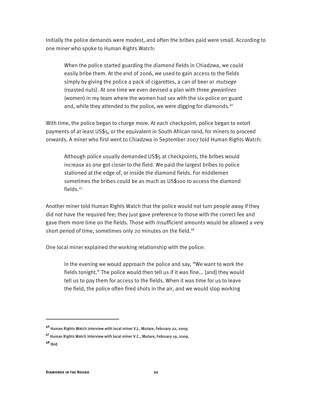Initially the police demands were modest, and often the bribes paid were small. According to one miner who spoke to Human Rights Watch:

When the police started guarding the diamond fields in Chiadzwa, we could easily bribe them. At the end of 2006, we used to gain access to the fields simply by giving the police a pack of cigarettes, a can of beer or *mutsege* (roasted nuts). At one time we even devised a plan with three *gwejelines* (women) in my team where the women had sex with the six police on guard and, while they attended to the police, we were digging for diamonds.<sup>46</sup>

With time, the police began to charge more. At each checkpoint, police began to extort payments of at least US\$5, or the equivalent in South African rand, for miners to proceed onwards. A miner who first went to Chiadzwa in September 2007 told Human Rights Watch:

Although police usually demanded US\$5 at checkpoints, the bribes would increase as one got closer to the field. We paid the largest bribes to police stationed at the edge of, or inside the diamond fields. For middlemen sometimes the bribes could be as much as US\$100 to access the diamond fields.47

Another miner told Human Rights Watch that the police would not turn people away if they did not have the required fee; they just gave preference to those with the correct fee and gave them more time on the fields. Those with insufficient amounts would be allowed a very short period of time, sometimes only 20 minutes on the field. $48$ 

One local miner explained the working relationship with the police:

In the evening we would approach the police and say, "We want to work the fields tonight." The police would then tell us if it was fine... [and] they would tell us to pay them for access to the fields. When it was time for us to leave the field, the police often fired shots in the air, and we would stop working

ֺ

**<sup>46</sup>** Human Rights Watch interview with local miner V.J., Mutare, February 22, 2009.

**<sup>47</sup>** Human Rights Watch interview with local miner V.C., Mutare, February 19, 2009.

**<sup>48</sup>** Ibid.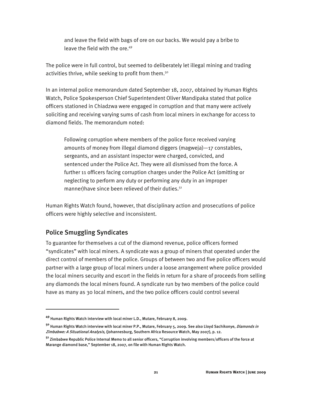and leave the field with bags of ore on our backs. We would pay a bribe to leave the field with the ore.<sup>49</sup>

The police were in full control, but seemed to deliberately let illegal mining and trading activities thrive, while seeking to profit from them.<sup>50</sup>

In an internal police memorandum dated September 18, 2007, obtained by Human Rights Watch, Police Spokesperson Chief Superintendent Oliver Mandipaka stated that police officers stationed in Chiadzwa were engaged in corruption and that many were actively soliciting and receiving varying sums of cash from local miners in exchange for access to diamond fields. The memorandum noted:

Following corruption where members of the police force received varying amounts of money from illegal diamond diggers (magweja)—17 constables, sergeants, and an assistant inspector were charged, convicted, and sentenced under the Police Act. They were all dismissed from the force. A further 11 officers facing corruption charges under the Police Act (omitting or neglecting to perform any duty or performing any duty in an improper manner) have since been relieved of their duties.<sup>51</sup>

Human Rights Watch found, however, that disciplinary action and prosecutions of police officers were highly selective and inconsistent.

#### Police Smuggling Syndicates

 $\overline{a}$ 

To guarantee for themselves a cut of the diamond revenue, police officers formed "syndicates" with local miners. A syndicate was a group of miners that operated under the direct control of members of the police. Groups of between two and five police officers would partner with a large group of local miners under a loose arrangement where police provided the local miners security and escort in the fields in return for a share of proceeds from selling any diamonds the local miners found. A syndicate run by two members of the police could have as many as 30 local miners, and the two police officers could control several

**<sup>49</sup>** Human Rights Watch interview with local miner L.D., Mutare, February 8, 2009.

**<sup>50</sup>** Human Rights Watch interview with local miner P.P., Mutare, February 5, 2009. See also Lloyd Sachikonye, Diamonds in Zimbabwe: A Situational Analysis, (Johannesburg, Southern Africa Resource Watch, May 2007), p. 12.

**<sup>51</sup>** Zimbabwe Republic Police Internal Memo to all senior officers, "Corruption involving members/officers of the force at Marange diamond base," September 18, 2007, on file with Human Rights Watch.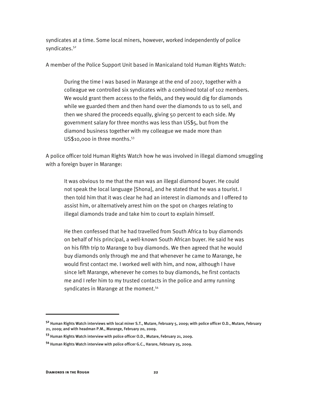syndicates at a time. Some local miners, however, worked independently of police syndicates.<sup>52</sup>

A member of the Police Support Unit based in Manicaland told Human Rights Watch:

During the time I was based in Marange at the end of 2007, together with a colleague we controlled six syndicates with a combined total of 102 members. We would grant them access to the fields, and they would dig for diamonds while we guarded them and then hand over the diamonds to us to sell, and then we shared the proceeds equally, giving 50 percent to each side. My government salary for three months was less than US\$5, but from the diamond business together with my colleague we made more than US\$10,000 in three months.<sup>53</sup>

A police officer told Human Rights Watch how he was involved in illegal diamond smuggling with a foreign buyer in Marange:

It was obvious to me that the man was an illegal diamond buyer. He could not speak the local language [Shona], and he stated that he was a tourist. I then told him that it was clear he had an interest in diamonds and I offered to assist him, or alternatively arrest him on the spot on charges relating to illegal diamonds trade and take him to court to explain himself.

He then confessed that he had travelled from South Africa to buy diamonds on behalf of his principal, a well-known South African buyer. He said he was on his fifth trip to Marange to buy diamonds. We then agreed that he would buy diamonds only through me and that whenever he came to Marange, he would first contact me. I worked well with him, and now, although I have since left Marange, whenever he comes to buy diamonds, he first contacts me and I refer him to my trusted contacts in the police and army running syndicates in Marange at the moment.<sup>54</sup>

:

**<sup>52</sup>** Human Rights Watch interviews with local miner S.T., Mutare, February 5, 2009; with police officer O.D., Mutare, February 21, 2009; and with headman P.M., Marange, February 20, 2009.

**<sup>53</sup>** Human Rights Watch interview with police officer O.D., Mutare, February 21, 2009.

**<sup>54</sup>** Human Rights Watch interview with police officer G.C., Harare, February 25, 2009.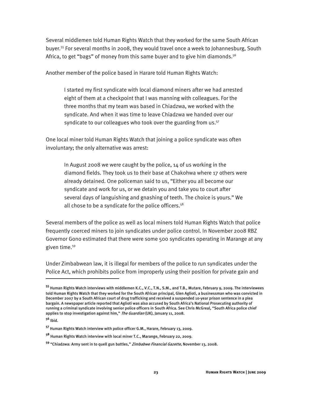Several middlemen told Human Rights Watch that they worked for the same South African buyer.55 For several months in 2008, they would travel once a week to Johannesburg, South Africa, to get "bags" of money from this same buyer and to give him diamonds.<sup>56</sup>

Another member of the police based in Harare told Human Rights Watch:

I started my first syndicate with local diamond miners after we had arrested eight of them at a checkpoint that I was manning with colleagues. For the three months that my team was based in Chiadzwa, we worked with the syndicate. And when it was time to leave Chiadzwa we handed over our syndicate to our colleagues who took over the guarding from us.<sup>57</sup>

One local miner told Human Rights Watch that joining a police syndicate was often involuntary; the only alternative was arrest:

In August 2008 we were caught by the police, 14 of us working in the diamond fields. They took us to their base at Chakohwa where 17 others were already detained. One policeman said to us, "Either you all become our syndicate and work for us, or we detain you and take you to court after several days of languishing and gnashing of teeth. The choice is yours." We all chose to be a syndicate for the police officers. $58$ 

Several members of the police as well as local miners told Human Rights Watch that police frequently coerced miners to join syndicates under police control. In November 2008 RBZ Governor Gono estimated that there were some 500 syndicates operating in Marange at any given time.59

Under Zimbabwean law, it is illegal for members of the police to run syndicates under the Police Act, which prohibits police from improperly using their position for private gain and

**<sup>55</sup>** Human Rights Watch interviews with middlemen K.C., V.C., T.N., S.M., and T.B., Mutare, February 9, 2009. The interviewees told Human Rights Watch that they worked for the South African principal, Glen Aglioti, a businessman who was convicted in December 2007 by a South African court of drug trafficking and received a suspended 10-year prison sentence in a plea bargain. A newspaper article reported that Aglioti was also accused by South Africa's National Prosecuting authority of running a criminal syndicate involving senior police officers in South Africa. See Chris McGreal, "South Africa police chief applies to stop investigation against him," The Guardian (UK), January 11, 2008.

**<sup>56</sup>** Ibid.

**<sup>57</sup>** Human Rights Watch interview with police officer G.M., Harare, February 13, 2009.

**<sup>58</sup>** Human Rights Watch interview with local miner T.C., Marange, February 22, 2009.

**<sup>59</sup>** "Chiadzwa: Army sent in to quell gun battles," Zimbabwe Financial Gazette, November 13, 2008.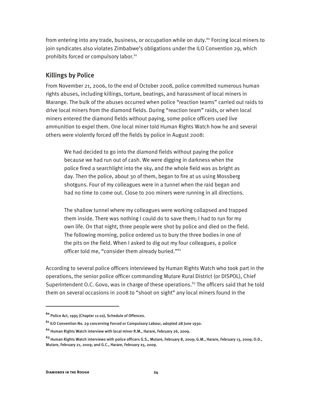from entering into any trade, business, or occupation while on duty.<sup>60</sup> Forcing local miners to join syndicates also violates Zimbabwe's obligations under the ILO Convention 29, which prohibits forced or compulsory labor.<sup>61</sup>

#### Killings by Police

From November 21, 2006, to the end of October 2008, police committed numerous human rights abuses, including killings, torture, beatings, and harassment of local miners in Marange. The bulk of the abuses occurred when police "reaction teams" carried out raids to drive local miners from the diamond fields. During "reaction team" raids, or when local miners entered the diamond fields without paying, some police officers used live ammunition to expel them. One local miner told Human Rights Watch how he and several others were violently forced off the fields by police in August 2008:

We had decided to go into the diamond fields without paying the police because we had run out of cash. We were digging in darkness when the police fired a searchlight into the sky, and the whole field was as bright as day. Then the police, about 30 of them, began to fire at us using Mossberg shotguns. Four of my colleagues were in a tunnel when the raid began and had no time to come out. Close to 200 miners were running in all directions.

The shallow tunnel where my colleagues were working collapsed and trapped them inside. There was nothing I could do to save them; I had to run for my own life. On that night, three people were shot by police and died on the field. The following morning, police ordered us to bury the three bodies in one of the pits on the field. When I asked to dig out my four colleagues, a police officer told me, "consider them already buried."<sup>62</sup>

According to several police officers interviewed by Human Rights Watch who took part in the operations, the senior police officer commanding Mutare Rural District (or DISPOL), Chief Superintendent O.C. Govo, was in charge of these operations.<sup>63</sup> The officers said that he told them on several occasions in 2008 to "shoot on sight" any local miners found in the

 $\overline{a}$ 

**<sup>60</sup>** Police Act, 1995 (Chapter 11:10), Schedule of Offences.

**<sup>61</sup>** ILO Convention No. 29 concerning Forced or Compulsory Labour, adopted 28 June 1930.

**<sup>62</sup>** Human Rights Watch interview with local miner R.M., Harare, February 26, 2009.

**<sup>63</sup>** Human Rights Watch interviews with police officers G.S., Mutare, February 8, 2009; G.M., Harare, February 13, 2009; O.D., Mutare, February 21, 2009; and G.C., Harare, February 25, 2009.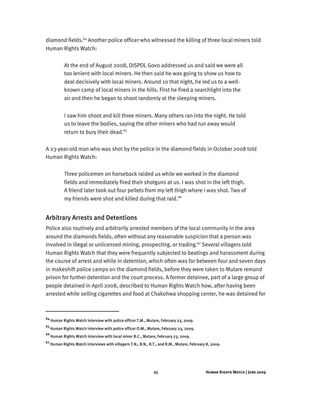diamond fields.<sup>64</sup> Another police officer who witnessed the killing of three local miners told Human Rights Watch:

At the end of August 2008, DISPOL Govo addressed us and said we were all too lenient with local miners. He then said he was going to show us how to deal decisively with local miners. Around 10 that night, he led us to a wellknown camp of local miners in the hills. First he fired a searchlight into the air and then he began to shoot randomly at the sleeping miners.

I saw him shoot and kill three miners. Many others ran into the night. He told us to leave the bodies, saying the other miners who had run away would return to bury their dead.<sup>65</sup>

A 23-year-old man who was shot by the police in the diamond fields in October 2008 told Human Rights Watch:

Three policemen on horseback raided us while we worked in the diamond fields and immediately fired their shotguns at us. I was shot in the left thigh. A friend later took out four pellets from my left thigh where I was shot. Two of my friends were shot and killed during that raid.<sup>66</sup>

#### Arbitrary Arrests and Detentions

 $\overline{a}$ 

Police also routinely and arbitrarily arrested members of the local community in the area around the diamonds fields, often without any reasonable suspicion that a person was involved in illegal or unlicensed mining, prospecting, or trading.<sup>67</sup> Several villagers told Human Rights Watch that they were frequently subjected to beatings and harassment during the course of arrest and while in detention, which often was for between four and seven days in makeshift police camps on the diamond fields, before they were taken to Mutare remand prison for further detention and the court process. A former detainee, part of a large group of people detained in April 2008, described to Human Rights Watch how, after having been arrested while selling cigarettes and food at Chakohwa shopping center, he was detained for

**<sup>64</sup>** Human Rights Watch interview with police officer T.M., Mutare, February 23, 2009.

**<sup>65</sup>** Human Rights Watch interview with police officer O.M., Mutare, February 23, 2009.

**<sup>66</sup>** Human Rights Watch interview with local miner B.C., Mutare, February 23, 2009.

**<sup>67</sup>** Human Rights Watch interviews with villagers T.N., B.N., R.T., and R.M., Mutare, February 8, 2009.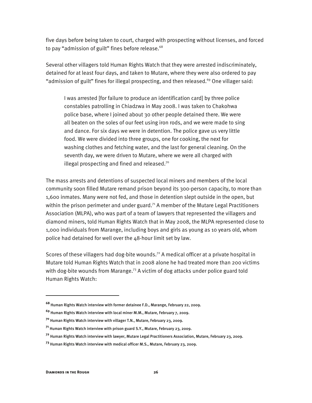five days before being taken to court, charged with prospecting without licenses, and forced to pay "admission of guilt" fines before release. $68$ 

Several other villagers told Human Rights Watch that they were arrested indiscriminately, detained for at least four days, and taken to Mutare, where they were also ordered to pay "admission of guilt" fines for illegal prospecting, and then released.<sup>69</sup> One villager said:

I was arrested [for failure to produce an identification card] by three police constables patrolling in Chiadzwa in May 2008. I was taken to Chakohwa police base, where I joined about 30 other people detained there. We were all beaten on the soles of our feet using iron rods, and we were made to sing and dance. For six days we were in detention. The police gave us very little food. We were divided into three groups, one for cooking, the next for washing clothes and fetching water, and the last for general cleaning. On the seventh day, we were driven to Mutare, where we were all charged with illegal prospecting and fined and released.<sup>70</sup>

The mass arrests and detentions of suspected local miners and members of the local community soon filled Mutare remand prison beyond its 300-person capacity, to more than 1,600 inmates. Many were not fed, and those in detention slept outside in the open, but within the prison perimeter and under guard.<sup>71</sup> A member of the Mutare Legal Practitioners Association (MLPA), who was part of a team of lawyers that represented the villagers and diamond miners, told Human Rights Watch that in May 2008, the MLPA represented close to 1,000 individuals from Marange, including boys and girls as young as 10 years old, whom police had detained for well over the 48-hour limit set by law.

Scores of these villagers had dog-bite wounds.<sup>72</sup> A medical officer at a private hospital in Mutare told Human Rights Watch that in 2008 alone he had treated more than 200 victims with dog-bite wounds from Marange.<sup>73</sup> A victim of dog attacks under police guard told Human Rights Watch:

**<sup>68</sup>** Human Rights Watch interview with former detainee F.D., Marange, February 22, 2009.

**<sup>69</sup>** Human Rights Watch interview with local miner M.M., Mutare, February 7, 2009.

**<sup>70</sup>** Human Rights Watch interview with villager T.N., Mutare, February 23, 2009.

**<sup>71</sup>** Human Rights Watch interview with prison guard S.Y., Mutare, February 23, 2009.

**<sup>72</sup>** Human Rights Watch interview with lawyer, Mutare Legal Practitioners Association, Mutare, February 23, 2009.

**<sup>73</sup>** Human Rights Watch interview with medical officer M.S., Mutare, February 23, 2009.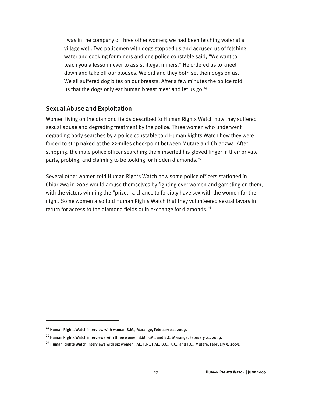I was in the company of three other women; we had been fetching water at a village well. Two policemen with dogs stopped us and accused us of fetching water and cooking for miners and one police constable said, "We want to teach you a lesson never to assist illegal miners." He ordered us to kneel down and take off our blouses. We did and they both set their dogs on us. We all suffered dog bites on our breasts. After a few minutes the police told us that the dogs only eat human breast meat and let us  $go.^{74}$ 

#### Sexual Abuse and Exploitation

Women living on the diamond fields described to Human Rights Watch how they suffered sexual abuse and degrading treatment by the police. Three women who underwent degrading body searches by a police constable told Human Rights Watch how they were forced to strip naked at the 22-miles checkpoint between Mutare and Chiadzwa. After stripping, the male police officer searching them inserted his gloved finger in their private parts, probing, and claiming to be looking for hidden diamonds.<sup>75</sup>

Several other women told Human Rights Watch how some police officers stationed in Chiadzwa in 2008 would amuse themselves by fighting over women and gambling on them, with the victors winning the "prize," a chance to forcibly have sex with the women for the night. Some women also told Human Rights Watch that they volunteered sexual favors in return for access to the diamond fields or in exchange for diamonds.<sup>76</sup>

**<sup>74</sup>** Human Rights Watch interview with woman B.M., Marange, February 22, 2009.

**<sup>75</sup>** Human Rights Watch interviews with three women B.M, F.M., and B.C, Marange, February 21, 2009.

**<sup>76</sup>** Human Rights Watch interviews with six women J.M., F.N., F.M., B.C., K.C., and T.C., Mutare, February 5, 2009.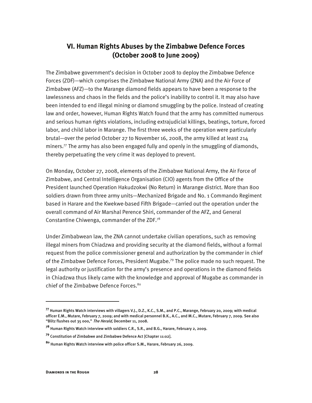### **VI. Human Rights Abuses by the Zimbabwe Defence Forces (October 2008 to June 2009)**

The Zimbabwe government's decision in October 2008 to deploy the Zimbabwe Defence Forces (ZDF)—which comprises the Zimbabwe National Army (ZNA) and the Air Force of Zimbabwe (AFZ)—to the Marange diamond fields appears to have been a response to the lawlessness and chaos in the fields and the police's inability to control it. It may also have been intended to end illegal mining or diamond smuggling by the police. Instead of creating law and order, however, Human Rights Watch found that the army has committed numerous and serious human rights violations, including extrajudicial killings, beatings, torture, forced labor, and child labor in Marange. The first three weeks of the operation were particularly brutal—over the period October 27 to November 16, 2008, the army killed at least 214 miners.<sup>77</sup> The army has also been engaged fully and openly in the smuggling of diamonds, thereby perpetuating the very crime it was deployed to prevent.

On Monday, October 27, 2008, elements of the Zimbabwe National Army, the Air Force of Zimbabwe, and Central Intelligence Organisation (CIO) agents from the Office of the President launched Operation Hakudzokwi (No Return) in Marange district. More than 800 soldiers drawn from three army units—Mechanized Brigade and No. 1 Commando Regiment based in Harare and the Kwekwe-based Fifth Brigade—carried out the operation under the overall command of Air Marshal Perence Shiri, commander of the AFZ, and General Constantine Chiwenga, commander of the ZDF.78

Under Zimbabwean law, the ZNA cannot undertake civilian operations, such as removing illegal miners from Chiadzwa and providing security at the diamond fields, without a formal request from the police commissioner general and authorization by the commander in chief of the Zimbabwe Defence Forces, President Mugabe.<sup>79</sup> The police made no such request. The legal authority or justification for the army's presence and operations in the diamond fields in Chiadzwa thus likely came with the knowledge and approval of Mugabe as commander in chief of the Zimbabwe Defence Forces.<sup>80</sup>

**<sup>77</sup>** Human Rights Watch interviews with villagers V.J., D.Z., K.C., S.M., and P.C., Marange, February 20, 2009; with medical officer E.M., Mutare, February 7, 2009; and with medical personnel B.K., A.C., and M.C., Mutare, February 7, 2009. See also "Blitz flushes out 35 000," The Herald, December 11, 2008.

**<sup>78</sup>** Human Rights Watch interview with soldiers C.R., S.R., and B.G., Harare, February 2, 2009.

**<sup>79</sup>** Constitution of Zimbabwe and Zimbabwe Defence Act [Chapter 11:02].

**<sup>80</sup>** Human Rights Watch interview with police officer S.M., Harare, February 26, 2009.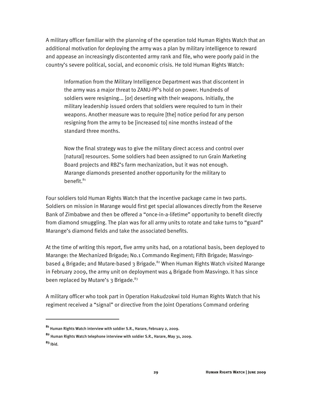A military officer familiar with the planning of the operation told Human Rights Watch that an additional motivation for deploying the army was a plan by military intelligence to reward and appease an increasingly discontented army rank and file, who were poorly paid in the country's severe political, social, and economic crisis. He told Human Rights Watch:

Information from the Military Intelligence Department was that discontent in the army was a major threat to ZANU-PF's hold on power. Hundreds of soldiers were resigning... [or] deserting with their weapons. Initially, the military leadership issued orders that soldiers were required to turn in their weapons. Another measure was to require [the] notice period for any person resigning from the army to be [increased to] nine months instead of the standard three months.

Now the final strategy was to give the military direct access and control over [natural] resources. Some soldiers had been assigned to run Grain Marketing Board projects and RBZ's farm mechanization, but it was not enough. Marange diamonds presented another opportunity for the military to benefit.<sup>81</sup>

Four soldiers told Human Rights Watch that the incentive package came in two parts. Soldiers on mission in Marange would first get special allowances directly from the Reserve Bank of Zimbabwe and then be offered a "once-in-a-lifetime" opportunity to benefit directly from diamond smuggling. The plan was for all army units to rotate and take turns to "guard" Marange's diamond fields and take the associated benefits.

At the time of writing this report, five army units had, on a rotational basis, been deployed to Marange: the Mechanized Brigade; No.1 Commando Regiment; Fifth Brigade; Masvingobased 4 Brigade; and Mutare-based 3 Brigade.<sup>82</sup> When Human Rights Watch visited Marange in February 2009, the army unit on deployment was  $4$  Brigade from Masvingo. It has since been replaced by Mutare's  $3$  Brigade.<sup>83</sup>

A military officer who took part in Operation Hakudzokwi told Human Rights Watch that his regiment received a "signal" or directive from the Joint Operations Command ordering

:

**<sup>81</sup>** Human Rights Watch interview with soldier S.R., Harare, February 2, 2009.

**<sup>82</sup>** Human Rights Watch telephone interview with soldier S.R., Harare, May 31, 2009.

**<sup>83</sup>** Ibid.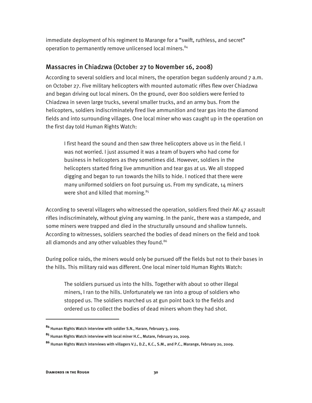immediate deployment of his regiment to Marange for a "swift, ruthless, and secret" operation to permanently remove unlicensed local miners.<sup>84</sup>

#### Massacres in Chiadzwa (October 27 to November 16, 2008)

According to several soldiers and local miners, the operation began suddenly around 7 a.m. on October 27. Five military helicopters with mounted automatic rifles flew over Chiadzwa and began driving out local miners. On the ground, over 800 soldiers were ferried to Chiadzwa in seven large trucks, several smaller trucks, and an army bus. From the helicopters, soldiers indiscriminately fired live ammunition and tear gas into the diamond fields and into surrounding villages. One local miner who was caught up in the operation on the first day told Human Rights Watch:

I first heard the sound and then saw three helicopters above us in the field. I was not worried. I just assumed it was a team of buyers who had come for business in helicopters as they sometimes did. However, soldiers in the helicopters started firing live ammunition and tear gas at us. We all stopped digging and began to run towards the hills to hide. I noticed that there were many uniformed soldiers on foot pursuing us. From my syndicate, 14 miners were shot and killed that morning. $85$ 

According to several villagers who witnessed the operation, soldiers fired their AK-47 assault rifles indiscriminately, without giving any warning. In the panic, there was a stampede, and some miners were trapped and died in the structurally unsound and shallow tunnels. According to witnesses, soldiers searched the bodies of dead miners on the field and took all diamonds and any other valuables they found.<sup>86</sup>

During police raids, the miners would only be pursued off the fields but not to their bases in the hills. This military raid was different. One local miner told Human Rights Watch:

The soldiers pursued us into the hills. Together with about 10 other illegal miners, I ran to the hills. Unfortunately we ran into a group of soldiers who stopped us. The soldiers marched us at gun point back to the fields and ordered us to collect the bodies of dead miners whom they had shot.

:

**<sup>84</sup>** Human Rights Watch interview with soldier S.N., Harare, February 3, 2009.

**<sup>85</sup>** Human Rights Watch interview with local miner H.C., Mutare, February 20, 2009.

**<sup>86</sup>** Human Rights Watch interviews with villagers V.J., D.Z., K.C., S.M., and P.C., Marange, February 20, 2009.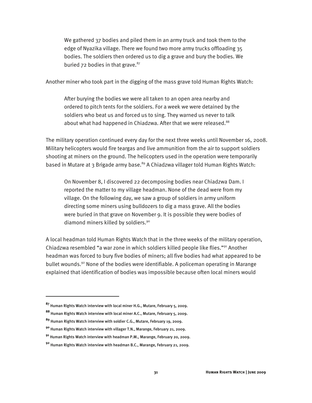We gathered 37 bodies and piled them in an army truck and took them to the edge of Nyazika village. There we found two more army trucks offloading 35 bodies. The soldiers then ordered us to dig a grave and bury the bodies. We buried  $72$  bodies in that grave.<sup>87</sup>

Another miner who took part in the digging of the mass grave told Human Rights Watch:

After burying the bodies we were all taken to an open area nearby and ordered to pitch tents for the soldiers. For a week we were detained by the soldiers who beat us and forced us to sing. They warned us never to talk about what had happened in Chiadzwa. After that we were released.<sup>88</sup>

The military operation continued every day for the next three weeks until November 16, 2008. Military helicopters would fire teargas and live ammunition from the air to support soldiers shooting at miners on the ground. The helicopters used in the operation were temporarily based in Mutare at 3 Brigade army base.<sup>89</sup> A Chiadzwa villager told Human Rights Watch:

On November 8, I discovered 22 decomposing bodies near Chiadzwa Dam. I reported the matter to my village headman. None of the dead were from my village. On the following day, we saw a group of soldiers in army uniform directing some miners using bulldozers to dig a mass grave. All the bodies were buried in that grave on November 9. It is possible they were bodies of diamond miners killed by soldiers.<sup>90</sup>

A local headman told Human Rights Watch that in the three weeks of the military operation, Chiadzwa resembled "a war zone in which soldiers killed people like flies."91 Another headman was forced to bury five bodies of miners; all five bodies had what appeared to be bullet wounds.92 None of the bodies were identifiable. A policeman operating in Marange explained that identification of bodies was impossible because often local miners would

**<sup>87</sup>** Human Rights Watch interview with local miner H.G., Mutare, February 5, 2009.

**<sup>88</sup>** Human Rights Watch interview with local miner A.C., Mutare, February 5, 2009.

**<sup>89</sup>** Human Rights Watch interview with soldier C.G., Mutare, February 19, 2009.

**<sup>90</sup>** Human Rights Watch interview with villager T.N., Marange, February 21, 2009.

**<sup>91</sup>** Human Rights Watch interview with headman P.M., Marange, February 20, 2009.

**<sup>92</sup>** Human Rights Watch interview with headman B.C., Marange, February 21, 2009.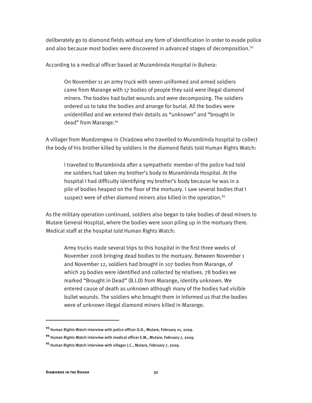deliberately go to diamond fields without any form of identification in order to evade police and also because most bodies were discovered in advanced stages of decomposition.<sup>93</sup>

According to a medical officer based at Murambinda Hospital in Buhera:

On November 11 an army truck with seven uniformed and armed soldiers came from Marange with 17 bodies of people they said were illegal diamond miners. The bodies had bullet wounds and were decomposing. The soldiers ordered us to take the bodies and arrange for burial. All the bodies were unidentified and we entered their details as "unknown" and "brought in dead" from Marange.94

A villager from Muedzengwa in Chiadzwa who travelled to Murambinda hospital to collect the body of his brother killed by soldiers in the diamond fields told Human Rights Watch:

I travelled to Murambinda after a sympathetic member of the police had told me soldiers had taken my brother's body to Murambinda Hospital. At the hospital I had difficulty identifying my brother's body because he was in a pile of bodies heaped on the floor of the mortuary. I saw several bodies that I suspect were of other diamond miners also killed in the operation.<sup>95</sup>

As the military operation continued, soldiers also began to take bodies of dead miners to Mutare General Hospital, where the bodies were soon piling up in the mortuary there. Medical staff at the hospital told Human Rights Watch:

Army trucks made several trips to this hospital in the first three weeks of November 2008 bringing dead bodies to the mortuary. Between November 1 and November 12, soldiers had brought in 107 bodies from Marange, of which 29 bodies were identified and collected by relatives. 78 bodies we marked "Brought in Dead" (B.I.D) from Marange, identity unknown. We entered cause of death as unknown although many of the bodies had visible bullet wounds. The soldiers who brought them in informed us that the bodies were of unknown illegal diamond miners killed in Marange.

**<sup>93</sup>** Human Rights Watch interview with police officer O.D., Mutare, February 21, 2009.

**<sup>94</sup>** Human Rights Watch interview with medical officer E.M., Mutare, February 7, 2009.

**<sup>95</sup>** Human Rights Watch interview with villager J.C., Mutare, February 7, 2009.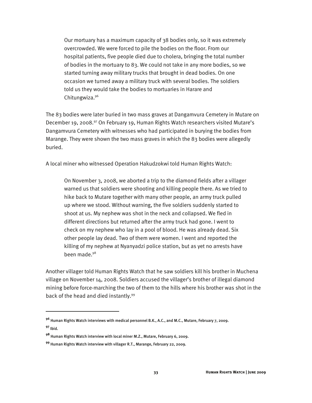Our mortuary has a maximum capacity of 38 bodies only, so it was extremely overcrowded. We were forced to pile the bodies on the floor. From our hospital patients, five people died due to cholera, bringing the total number of bodies in the mortuary to 83. We could not take in any more bodies, so we started turning away military trucks that brought in dead bodies. On one occasion we turned away a military truck with several bodies. The soldiers told us they would take the bodies to mortuaries in Harare and Chitungwiza.96

The 83 bodies were later buried in two mass graves at Dangamvura Cemetery in Mutare on December 19, 2008.<sup>97</sup> On February 19, Human Rights Watch researchers visited Mutare's Dangamvura Cemetery with witnesses who had participated in burying the bodies from Marange. They were shown the two mass graves in which the 83 bodies were allegedly buried.

A local miner who witnessed Operation Hakudzokwi told Human Rights Watch:

On November 3, 2008, we aborted a trip to the diamond fields after a villager warned us that soldiers were shooting and killing people there. As we tried to hike back to Mutare together with many other people, an army truck pulled up where we stood. Without warning, the five soldiers suddenly started to shoot at us. My nephew was shot in the neck and collapsed. We fled in different directions but returned after the army truck had gone. I went to check on my nephew who lay in a pool of blood. He was already dead. Six other people lay dead. Two of them were women. I went and reported the killing of my nephew at Nyanyadzi police station, but as yet no arrests have been made.<sup>98</sup>

Another villager told Human Rights Watch that he saw soldiers kill his brother in Muchena village on November 14, 2008. Soldiers accused the villager's brother of illegal diamond mining before force-marching the two of them to the hills where his brother was shot in the back of the head and died instantly.<sup>99</sup>

ֺ

**<sup>96</sup>** Human Rights Watch interviews with medical personnel B.K., A.C., and M.C., Mutare, February 7, 2009. **<sup>97</sup>** Ibid.

**<sup>98</sup>** Human Rights Watch interview with local miner M.Z., Mutare, February 6, 2009.

**<sup>99</sup>** Human Rights Watch interview with villager R.T., Marange, February 22, 2009.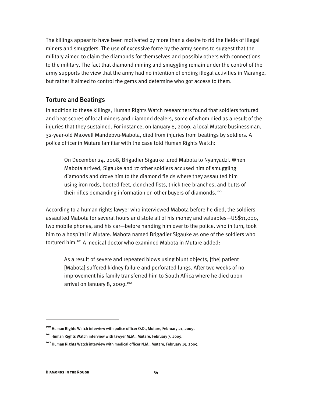The killings appear to have been motivated by more than a desire to rid the fields of illegal miners and smugglers. The use of excessive force by the army seems to suggest that the military aimed to claim the diamonds for themselves and possibly others with connections to the military. The fact that diamond mining and smuggling remain under the control of the army supports the view that the army had no intention of ending illegal activities in Marange, but rather it aimed to control the gems and determine who got access to them.

#### Torture and Beatings

In addition to these killings, Human Rights Watch researchers found that soldiers tortured and beat scores of local miners and diamond dealers, some of whom died as a result of the injuries that they sustained. For instance, on January 8, 2009, a local Mutare businessman, 32-year-old Maxwell Mandebvu-Mabota, died from injuries from beatings by soldiers. A police officer in Mutare familiar with the case told Human Rights Watch:

On December 24, 2008, Brigadier Sigauke lured Mabota to Nyanyadzi. When Mabota arrived, Sigauke and 17 other soldiers accused him of smuggling diamonds and drove him to the diamond fields where they assaulted him using iron rods, booted feet, clenched fists, thick tree branches, and butts of their rifles demanding information on other buyers of diamonds.<sup>100</sup>

According to a human rights lawyer who interviewed Mabota before he died, the soldiers assaulted Mabota for several hours and stole all of his money and valuables—US\$11,000, two mobile phones, and his car—before handing him over to the police, who in turn, took him to a hospital in Mutare. Mabota named Brigadier Sigauke as one of the soldiers who tortured him.101 A medical doctor who examined Mabota in Mutare added:

As a result of severe and repeated blows using blunt objects, [the] patient [Mabota] suffered kidney failure and perforated lungs. After two weeks of no improvement his family transferred him to South Africa where he died upon arrival on January 8, 2009.<sup>102</sup>

:

**<sup>100</sup>** Human Rights Watch interview with police officer O.D., Mutare, February 21, 2009.

**<sup>101</sup>** Human Rights Watch interview with lawyer M.M., Mutare, February 7, 2009.

**<sup>102</sup>** Human Rights Watch interview with medical officer N.M., Mutare, February 19, 2009.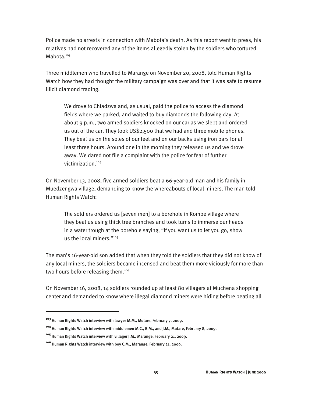Police made no arrests in connection with Mabota's death. As this report went to press, his relatives had not recovered any of the items allegedly stolen by the soldiers who tortured Mabota.<sup>103</sup>

Three middlemen who travelled to Marange on November 20, 2008, told Human Rights Watch how they had thought the military campaign was over and that it was safe to resume illicit diamond trading:

We drove to Chiadzwa and, as usual, paid the police to access the diamond fields where we parked, and waited to buy diamonds the following day. At about 9 p.m., two armed soldiers knocked on our car as we slept and ordered us out of the car. They took US\$2,500 that we had and three mobile phones. They beat us on the soles of our feet and on our backs using iron bars for at least three hours. Around one in the morning they released us and we drove away. We dared not file a complaint with the police for fear of further victimization.104

On November 13, 2008, five armed soldiers beat a 66-year-old man and his family in Muedzengwa village, demanding to know the whereabouts of local miners. The man told Human Rights Watch:

The soldiers ordered us [seven men] to a borehole in Rombe village where they beat us using thick tree branches and took turns to immerse our heads in a water trough at the borehole saying, "If you want us to let you go, show us the local miners."105

The man's 16-year-old son added that when they told the soldiers that they did not know of any local miners, the soldiers became incensed and beat them more viciously for more than two hours before releasing them.<sup>106</sup>

On November 16, 2008, 14 soldiers rounded up at least 80 villagers at Muchena shopping center and demanded to know where illegal diamond miners were hiding before beating all

1

**<sup>104</sup>** Human Rights Watch interview with middlemen M.C., R.M., and J.M., Mutare, February 8, 2009.

**<sup>103</sup>** Human Rights Watch interview with lawyer M.M., Mutare, February 7, 2009.

**<sup>105</sup>** Human Rights Watch interview with villager J.M., Marange, February 21, 2009.

**<sup>106</sup>** Human Rights Watch interview with boy C.M., Marange, February 21, 2009.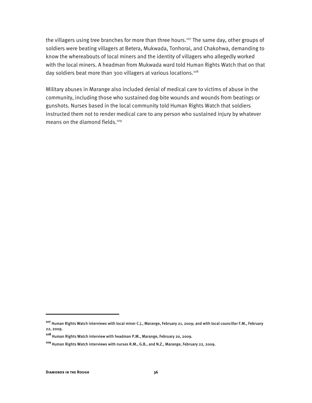the villagers using tree branches for more than three hours.<sup>107</sup> The same day, other groups of soldiers were beating villagers at Betera, Mukwada, Tonhorai, and Chakohwa, demanding to know the whereabouts of local miners and the identity of villagers who allegedly worked with the local miners. A headman from Mukwada ward told Human Rights Watch that on that day soldiers beat more than 300 villagers at various locations.<sup>108</sup>

Military abuses in Marange also included denial of medical care to victims of abuse in the community, including those who sustained dog-bite wounds and wounds from beatings or gunshots. Nurses based in the local community told Human Rights Watch that soldiers instructed them not to render medical care to any person who sustained injury by whatever means on the diamond fields.<sup>109</sup>

ֺ

**<sup>107</sup>** Human Rights Watch interviews with local miner C.J., Marange, February 21, 2009; and with local councillor F.M., February 22, 2009.

**<sup>108</sup>** Human Rights Watch interview with headman P.M., Marange, February 20, 2009.

**<sup>109</sup>** Human Rights Watch interviews with nurses R.M., G.B., and N.Z., Marange, February 22, 2009.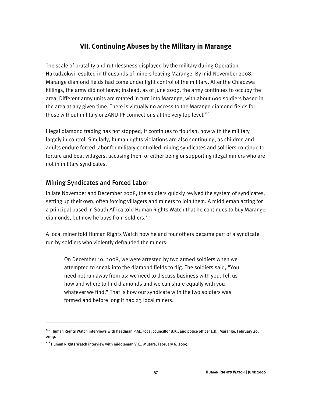#### **VII. Continuing Abuses by the Military in Marange**

The scale of brutality and ruthlessness displayed by the military during Operation Hakudzokwi resulted in thousands of miners leaving Marange. By mid-November 2008, Marange diamond fields had come under tight control of the military. After the Chiadzwa killings, the army did not leave; instead, as of June 2009, the army continues to occupy the area. Different army units are rotated in turn into Marange, with about 600 soldiers based in the area at any given time. There is virtually no access to the Marange diamond fields for those without military or ZANU-PF connections at the very top level.<sup>110</sup>

Illegal diamond trading has not stopped; it continues to flourish, now with the military largely in control. Similarly, human rights violations are also continuing, as children and adults endure forced labor for military-controlled mining syndicates and soldiers continue to torture and beat villagers, accusing them of either being or supporting illegal miners who are not in military syndicates.

#### Mining Syndicates and Forced Labor

In late November and December 2008, the soldiers quickly revived the system of syndicates, setting up their own, often forcing villagers and miners to join them. A middleman acting for a principal based in South Africa told Human Rights Watch that he continues to buy Marange diamonds, but now he buys from soldiers.<sup>111</sup>

A local miner told Human Rights Watch how he and four others became part of a syndicate run by soldiers who violently defrauded the miners:

On December 10, 2008, we were arrested by two armed soldiers when we attempted to sneak into the diamond fields to dig. The soldiers said, "You need not run away from us; we need to discuss business with you. Tell us how and where to find diamonds and we can share equally with you whatever we find." That is how our syndicate with the two soldiers was formed and before long it had 23 local miners.

:

**<sup>110</sup>** Human Rights Watch interviews with headman P.M., local councillor B.K., and police officer L.D., Marange, February 20, 2009.

**<sup>111</sup>** Human Rights Watch interview with middleman V.C., Mutare, February 6, 2009.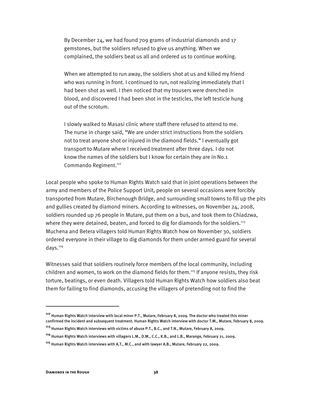By December 24, we had found 709 grams of industrial diamonds and 17 gemstones, but the soldiers refused to give us anything. When we complained, the soldiers beat us all and ordered us to continue working.

When we attempted to run away, the soldiers shot at us and killed my friend who was running in front. I continued to run, not realizing immediately that l had been shot as well. I then noticed that my trousers were drenched in blood, and discovered I had been shot in the testicles, the left testicle hung out of the scrotum.

I slowly walked to Masasi clinic where staff there refused to attend to me. The nurse in charge said, "We are under strict instructions from the soldiers not to treat anyone shot or injured in the diamond fields." I eventually got transport to Mutare where l received treatment after three days. I do not know the names of the soldiers but I know for certain they are in No.1 Commando Regiment.<sup>112</sup>

Local people who spoke to Human Rights Watch said that in joint operations between the army and members of the Police Support Unit, people on several occasions were forcibly transported from Mutare, Birchenough Bridge, and surrounding small towns to fill up the pits and gullies created by diamond miners. According to witnesses, on November 24, 2008, soldiers rounded up 76 people in Mutare, put them on a bus, and took them to Chiadzwa, where they were detained, beaten, and forced to dig for diamonds for the soldiers.<sup>113</sup> Muchena and Betera villagers told Human Rights Watch how on November 30, soldiers ordered everyone in their village to dig diamonds for them under armed guard for several days.<sup>114</sup>

Witnesses said that soldiers routinely force members of the local community, including children and women, to work on the diamond fields for them.<sup>115</sup> If anyone resists, they risk torture, beatings, or even death. Villagers told Human Rights Watch how soldiers also beat them for failing to find diamonds, accusing the villagers of pretending not to find the

1

**<sup>112</sup>** Human Rights Watch interview with local miner P.T., Mutare, February 8, 2009. The doctor who treated this miner confirmed the incident and subsequent treatment. Human Rights Watch interview with doctor T.M., Mutare, February 8, 2009.

**<sup>113</sup>** Human Rights Watch interviews with victims of abuse P.T., B.C., and T.N., Mutare, February 8, 2009.

**<sup>114</sup>** Human Rights Watch interviews with villagers L.M., D.M., C.C., K.B., and L.B., Marange, February 21, 2009.

**<sup>115</sup>** Human Rights Watch interviews with A.T., M.C., and with lawyer A.B., Mutare, February 22, 2009.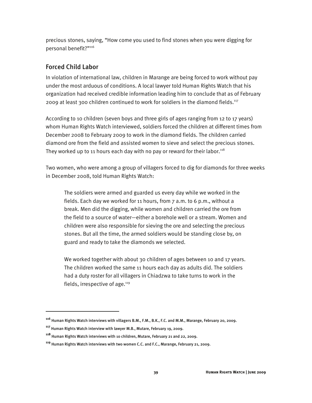precious stones, saying, "How come you used to find stones when you were digging for personal benefit?"116

#### Forced Child Labor

In violation of international law, children in Marange are being forced to work without pay under the most arduous of conditions. A local lawyer told Human Rights Watch that his organization had received credible information leading him to conclude that as of February 2009 at least 300 children continued to work for soldiers in the diamond fields.117

According to 10 children (seven boys and three girls of ages ranging from 12 to 17 years) whom Human Rights Watch interviewed, soldiers forced the children at different times from December 2008 to February 2009 to work in the diamond fields. The children carried diamond ore from the field and assisted women to sieve and select the precious stones. They worked up to 11 hours each day with no pay or reward for their labor.<sup>118</sup>

Two women, who were among a group of villagers forced to dig for diamonds for three weeks in December 2008, told Human Rights Watch:

The soldiers were armed and guarded us every day while we worked in the fields. Each day we worked for 11 hours, from 7 a.m. to 6 p.m., without a break. Men did the digging, while women and children carried the ore from the field to a source of water—either a borehole well or a stream. Women and children were also responsible for sieving the ore and selecting the precious stones. But all the time, the armed soldiers would be standing close by, on guard and ready to take the diamonds we selected.

We worked together with about 30 children of ages between 10 and 17 years. The children worked the same 11 hours each day as adults did. The soldiers had a duty roster for all villagers in Chiadzwa to take turns to work in the fields, irrespective of age. $119$ 

:

**<sup>116</sup>** Human Rights Watch interviews with villagers B.M., F.M., B.K., F.C. and M.M., Marange, February 20, 2009.

**<sup>117</sup>** Human Rights Watch interview with lawyer M.B., Mutare, February 19, 2009.

**<sup>118</sup>** Human Rights Watch interviews with 10 children, Mutare, February 21 and 22, 2009.

**<sup>119</sup>** Human Rights Watch interviews with two women C.C. and F.C., Marange, February 21, 2009.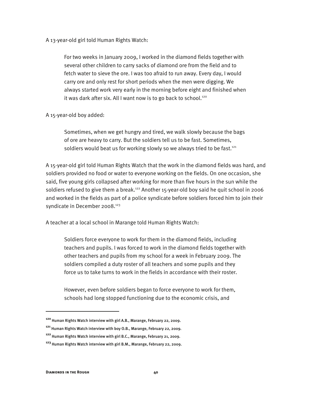A 13-year-old girl told Human Rights Watch:

For two weeks in January 2009, I worked in the diamond fields together with several other children to carry sacks of diamond ore from the field and to fetch water to sieve the ore. I was too afraid to run away. Every day, I would carry ore and only rest for short periods when the men were digging. We always started work very early in the morning before eight and finished when it was dark after six. All I want now is to go back to school.<sup>120</sup>

#### A 15-year-old boy added:

Sometimes, when we get hungry and tired, we walk slowly because the bags of ore are heavy to carry. But the soldiers tell us to be fast. Sometimes, soldiers would beat us for working slowly so we always tried to be fast.<sup>121</sup>

A 15-year-old girl told Human Rights Watch that the work in the diamond fields was hard, and soldiers provided no food or water to everyone working on the fields. On one occasion, she said, five young girls collapsed after working for more than five hours in the sun while the soldiers refused to give them a break.<sup>122</sup> Another 15-year-old boy said he quit school in 2006 and worked in the fields as part of a police syndicate before soldiers forced him to join their syndicate in December 2008.<sup>123</sup>

A teacher at a local school in Marange told Human Rights Watch:

Soldiers force everyone to work for them in the diamond fields, including teachers and pupils. I was forced to work in the diamond fields together with other teachers and pupils from my school for a week in February 2009. The soldiers compiled a duty roster of all teachers and some pupils and they force us to take turns to work in the fields in accordance with their roster.

However, even before soldiers began to force everyone to work for them, schools had long stopped functioning due to the economic crisis, and

 $\overline{a}$ 

**<sup>120</sup>** Human Rights Watch interview with girl A.B., Marange, February 22, 2009.

**<sup>121</sup>** Human Rights Watch interview with boy O.B., Marange, February 22, 2009.

**<sup>122</sup>** Human Rights Watch interview with girl B.C., Marange, February 21, 2009.

**<sup>123</sup>** Human Rights Watch interview with girl B.M., Marange, February 22, 2009.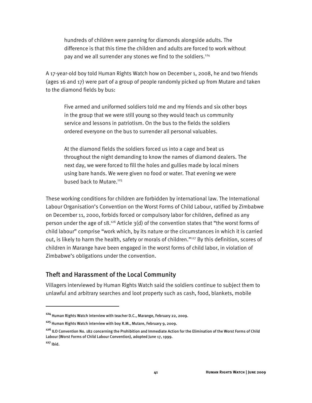hundreds of children were panning for diamonds alongside adults. The difference is that this time the children and adults are forced to work without pay and we all surrender any stones we find to the soldiers.<sup>124</sup>

A 17-year-old boy told Human Rights Watch how on December 1, 2008, he and two friends (ages 16 and 17) were part of a group of people randomly picked up from Mutare and taken to the diamond fields by bus:

Five armed and uniformed soldiers told me and my friends and six other boys in the group that we were still young so they would teach us community service and lessons in patriotism. On the bus to the fields the soldiers ordered everyone on the bus to surrender all personal valuables.

At the diamond fields the soldiers forced us into a cage and beat us throughout the night demanding to know the names of diamond dealers. The next day, we were forced to fill the holes and gullies made by local miners using bare hands. We were given no food or water. That evening we were bused back to Mutare.<sup>125</sup>

These working conditions for children are forbidden by international law. The International Labour Organisation's Convention on the Worst Forms of Child Labour, ratified by Zimbabwe on December 11, 2000, forbids forced or compulsory labor for children, defined as any person under the age of 18.<sup>126</sup> Article  $3(d)$  of the convention states that "the worst forms of child labour" comprise "work which, by its nature or the circumstances in which it is carried out, is likely to harm the health, safety or morals of children." $^{127}$  By this definition, scores of children in Marange have been engaged in the worst forms of child labor, in violation of Zimbabwe's obligations under the convention.

#### Theft and Harassment of the Local Community

Villagers interviewed by Human Rights Watch said the soldiers continue to subject them to unlawful and arbitrary searches and loot property such as cash, food, blankets, mobile

 $\overline{a}$ 

**<sup>124</sup>** Human Rights Watch interview with teacher D.C., Marange, February 22, 2009.

**<sup>125</sup>** Human Rights Watch interview with boy R.M., Mutare, February 9, 2009.

**<sup>126</sup>** ILO Convention No. 182 concerning the Prohibition and Immediate Action for the Elimination of the Worst Forms of Child Labour (Worst Forms of Child Labour Convention), adopted June 17, 1999.

**<sup>127</sup>** Ibid.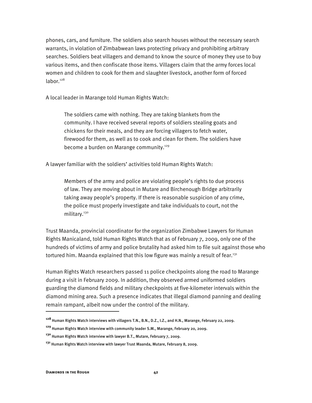phones, cars, and furniture. The soldiers also search houses without the necessary search warrants, in violation of Zimbabwean laws protecting privacy and prohibiting arbitrary searches. Soldiers beat villagers and demand to know the source of money they use to buy various items, and then confiscate those items. Villagers claim that the army forces local women and children to cook for them and slaughter livestock, another form of forced labor.<sup>128</sup>

A local leader in Marange told Human Rights Watch:

The soldiers came with nothing. They are taking blankets from the community. I have received several reports of soldiers stealing goats and chickens for their meals, and they are forcing villagers to fetch water, firewood for them, as well as to cook and clean for them. The soldiers have become a burden on Marange community.<sup>129</sup>

A lawyer familiar with the soldiers' activities told Human Rights Watch:

Members of the army and police are violating people's rights to due process of law. They are moving about in Mutare and Birchenough Bridge arbitrarily taking away people's property. If there is reasonable suspicion of any crime, the police must properly investigate and take individuals to court, not the military.<sup>130</sup>

Trust Maanda, provincial coordinator for the organization Zimbabwe Lawyers for Human Rights Manicaland, told Human Rights Watch that as of February 7, 2009, only one of the hundreds of victims of army and police brutality had asked him to file suit against those who tortured him. Maanda explained that this low figure was mainly a result of fear.<sup>131</sup>

Human Rights Watch researchers passed 11 police checkpoints along the road to Marange during a visit in February 2009. In addition, they observed armed uniformed soldiers guarding the diamond fields and military checkpoints at five-kilometer intervals within the diamond mining area. Such a presence indicates that illegal diamond panning and dealing remain rampant, albeit now under the control of the military.

:

**<sup>128</sup>** Human Rights Watch interviews with villagers T.N., B.N., D.Z., I.Z., and H.N., Marange, February 22, 2009.

**<sup>129</sup>** Human Rights Watch interview with community leader S.M., Marange, February 20, 2009.

**<sup>130</sup>** Human Rights Watch interview with lawyer B.T., Mutare, February 7, 2009.

**<sup>131</sup>** Human Rights Watch interview with lawyer Trust Maanda, Mutare, February 8, 2009.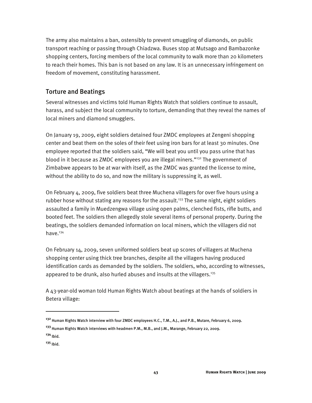The army also maintains a ban, ostensibly to prevent smuggling of diamonds, on public transport reaching or passing through Chiadzwa. Buses stop at Mutsago and Bambazonke shopping centers, forcing members of the local community to walk more than 20 kilometers to reach their homes. This ban is not based on any law. It is an unnecessary infringement on freedom of movement, constituting harassment.

#### Torture and Beatings

Several witnesses and victims told Human Rights Watch that soldiers continue to assault, harass, and subject the local community to torture, demanding that they reveal the names of local miners and diamond smugglers.

On January 19, 2009, eight soldiers detained four ZMDC employees at Zengeni shopping center and beat them on the soles of their feet using iron bars for at least 30 minutes. One employee reported that the soldiers said, "We will beat you until you pass urine that has blood in it because as ZMDC employees you are illegal miners."<sup>132</sup> The government of Zimbabwe appears to be at war with itself, as the ZMDC was granted the license to mine, without the ability to do so, and now the military is suppressing it, as well.

On February 4, 2009, five soldiers beat three Muchena villagers for over five hours using a rubber hose without stating any reasons for the assault.<sup>133</sup> The same night, eight soldiers assaulted a family in Muedzengwa village using open palms, clenched fists, rifle butts, and booted feet. The soldiers then allegedly stole several items of personal property. During the beatings, the soldiers demanded information on local miners, which the villagers did not have.<sup>134</sup>

On February 14, 2009, seven uniformed soldiers beat up scores of villagers at Muchena shopping center using thick tree branches, despite all the villagers having produced identification cards as demanded by the soldiers. The soldiers, who, according to witnesses, appeared to be drunk, also hurled abuses and insults at the villagers.<sup>135</sup>

A 43-year-old woman told Human Rights Watch about beatings at the hands of soldiers in Betera village:

 $\overline{a}$ 

**<sup>132</sup>** Human Rights Watch interview with four ZMDC employees H.C., T.M., A.J., and P.B., Mutare, February 6, 2009.

**<sup>133</sup>** Human Rights Watch interviews with headmen P.M., M.B., and J.M., Marange, February 22, 2009. **<sup>134</sup>** Ibid.

**<sup>135</sup>** Ibid.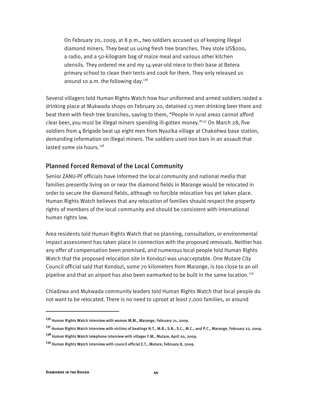On February 20, 2009, at 8 p.m., two soldiers accused us of keeping illegal diamond miners. They beat us using fresh tree branches. They stole US\$200, a radio, and a 50-kilogram bag of maize meal and various other kitchen utensils. They ordered me and my 14-year-old niece to their base at Betera primary school to clean their tents and cook for them. They only released us around 10 a.m. the following day.<sup>136</sup>

Several villagers told Human Rights Watch how four uniformed and armed soldiers raided a drinking place at Mukwada shops on February 20, detained 13 men drinking beer there and beat them with fresh tree branches, saying to them, "People in rural areas cannot afford clear beer, you must be illegal miners spending ill-gotten money."137 On March 28, five soldiers from 4 Brigade beat up eight men from Nyazika village at Chakohwa base station, demanding information on illegal miners. The soldiers used iron bars in an assault that lasted some six hours. $138$ 

#### Planned Forced Removal of the Local Community

Senior ZANU-PF officials have informed the local community and national media that families presently living on or near the diamond fields in Marange would be relocated in order to secure the diamond fields, although no forcible relocation has yet taken place. Human Rights Watch believes that any relocation of families should respect the property rights of members of the local community and should be consistent with international human rights law.

Area residents told Human Rights Watch that no planning, consultation, or environmental impact assessment has taken place in connection with the proposed removals. Neither has any offer of compensation been promised, and numerous local people told Human Rights Watch that the proposed relocation site in Kondozi was unacceptable. One Mutare City Council official said that Kondozi, some 70 kilometers from Marange, is too close to an oil pipeline and that an airport has also been earmarked to be built in the same location.<sup>139</sup>

Chiadzwa and Mukwada community leaders told Human Rights Watch that local people do not want to be relocated. There is no need to uproot at least 7,000 families, or around

 $\overline{a}$ 

**<sup>136</sup>** Human Rights Watch interview with woman M.M., Marange, February 21, 2009.

**<sup>137</sup>** Human Rights Watch interview with victims of beatings N.T., M.B., S.B., S.C., M.C., and P.C., Marange, February 22, 2009.

**<sup>138</sup>** Human Rights Watch telephone interview with villager F.M., Mutare, April 20, 2009.

**<sup>139</sup>** Human Rights Watch interview with council official E.T., Mutare, February 8, 2009.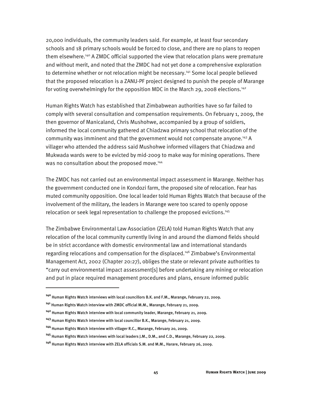20,000 individuals, the community leaders said. For example, at least four secondary schools and 18 primary schools would be forced to close, and there are no plans to reopen them elsewhere.<sup>140</sup> A ZMDC official supported the view that relocation plans were premature and without merit, and noted that the ZMDC had not yet done a comprehensive exploration to determine whether or not relocation might be necessary.<sup>141</sup> Some local people believed that the proposed relocation is a ZANU-PF project designed to punish the people of Marange for voting overwhelmingly for the opposition MDC in the March 29, 2008 elections.<sup>142</sup>

Human Rights Watch has established that Zimbabwean authorities have so far failed to comply with several consultation and compensation requirements. On February 1, 2009, the then governor of Manicaland, Chris Mushohwe, accompanied by a group of soldiers, informed the local community gathered at Chiadzwa primary school that relocation of the community was imminent and that the government would not compensate anyone.<sup>143</sup> A villager who attended the address said Mushohwe informed villagers that Chiadzwa and Mukwada wards were to be evicted by mid-2009 to make way for mining operations. There was no consultation about the proposed move.<sup>144</sup>

The ZMDC has not carried out an environmental impact assessment in Marange. Neither has the government conducted one in Kondozi farm, the proposed site of relocation. Fear has muted community opposition. One local leader told Human Rights Watch that because of the involvement of the military, the leaders in Marange were too scared to openly oppose relocation or seek legal representation to challenge the proposed evictions.<sup>145</sup>

The Zimbabwe Environmental Law Association (ZELA) told Human Rights Watch that any relocation of the local community currently living in and around the diamond fields should be in strict accordance with domestic environmental law and international standards regarding relocations and compensation for the displaced.<sup>146</sup> Zimbabwe's Environmental Management Act, 2002 (Chapter 20:27), obliges the state or relevant private authorities to "carry out environmental impact assessment[s] before undertaking any mining or relocation and put in place required management procedures and plans, ensure informed public

**<sup>140</sup>** Human Rights Watch interviews with local councillors B.K. and F.M., Marange, February 22, 2009.

**<sup>141</sup>** Human Rights Watch interview with ZMDC official M.M., Marange, February 21, 2009.

**<sup>142</sup>** Human Rights Watch interview with local community leader, Marange, February 21, 2009.

**<sup>143</sup>** Human Rights Watch interview with local councillor B.K., Marange, February 21, 2009.

**<sup>144</sup>** Human Rights Watch interview with villager R.C., Marange, February 20, 2009.

**<sup>145</sup>** Human Rights Watch interviews with local leaders J.M., D.M., and C.D., Marange, February 22, 2009.

**<sup>146</sup>** Human Rights Watch interview with ZELA officials S.M. and M.M., Harare, February 26, 2009.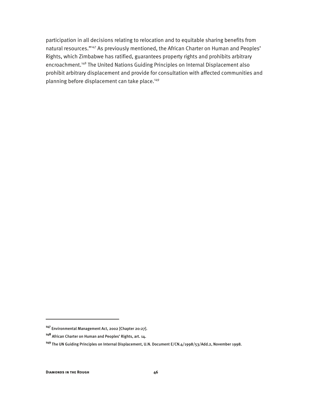participation in all decisions relating to relocation and to equitable sharing benefits from natural resources."<sup>147</sup> As previously mentioned, the African Charter on Human and Peoples' Rights, which Zimbabwe has ratified, guarantees property rights and prohibits arbitrary encroachment.148 The United Nations Guiding Principles on Internal Displacement also prohibit arbitrary displacement and provide for consultation with affected communities and planning before displacement can take place.<sup>149</sup>

ֺ

**<sup>147</sup>** Environmental Management Act, 2002 [Chapter 20:27].

**<sup>148</sup>** African Charter on Human and Peoples' Rights, art. 14.

**<sup>149</sup>** The UN Guiding Principles on Internal Displacement, U.N. Document E/CN.4/1998/53/Add.2, November 1998.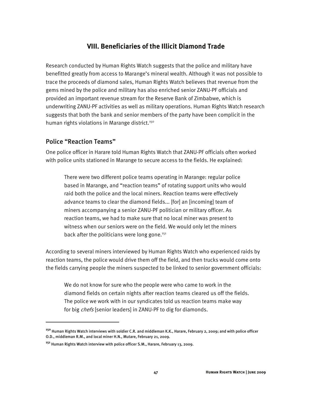#### **VIII. Beneficiaries of the Illicit Diamond Trade**

Research conducted by Human Rights Watch suggests that the police and military have benefitted greatly from access to Marange's mineral wealth. Although it was not possible to trace the proceeds of diamond sales, Human Rights Watch believes that revenue from the gems mined by the police and military has also enriched senior ZANU-PF officials and provided an important revenue stream for the Reserve Bank of Zimbabwe, which is underwriting ZANU-PF activities as well as military operations. Human Rights Watch research suggests that both the bank and senior members of the party have been complicit in the human rights violations in Marange district.<sup>150</sup>

#### Police "Reaction Teams"

ֺ

One police officer in Harare told Human Rights Watch that ZANU-PF officials often worked with police units stationed in Marange to secure access to the fields. He explained:

There were two different police teams operating in Marange: regular police based in Marange, and "reaction teams" of rotating support units who would raid both the police and the local miners. Reaction teams were effectively advance teams to clear the diamond fields... [for] an [incoming] team of miners accompanying a senior ZANU-PF politician or military officer. As reaction teams, we had to make sure that no local miner was present to witness when our seniors were on the field. We would only let the miners back after the politicians were long gone. $151$ 

According to several miners interviewed by Human Rights Watch who experienced raids by reaction teams, the police would drive them off the field, and then trucks would come onto the fields carrying people the miners suspected to be linked to senior government officials:

We do not know for sure who the people were who came to work in the diamond fields on certain nights after reaction teams cleared us off the fields. The police we work with in our syndicates told us reaction teams make way for big chefs [senior leaders] in ZANU-PF to dig for diamonds.

**<sup>150</sup>** Human Rights Watch interviews with soldier C.R. and middleman K.K., Harare, February 2, 2009; and with police officer O.D., middleman R.M., and local miner H.N., Mutare, February 21, 2009.

**<sup>151</sup>** Human Rights Watch interview with police officer S.M., Harare, February 13, 2009.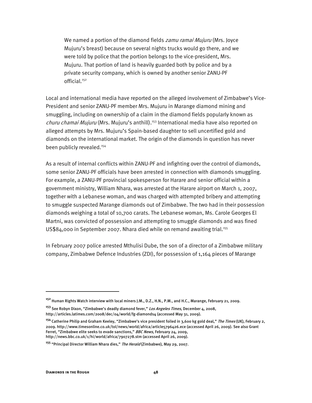We named a portion of the diamond fields *zamu ramai Mujuru* (Mrs. Joyce Mujuru's breast) because on several nights trucks would go there, and we were told by police that the portion belongs to the vice-president, Mrs. Mujuru. That portion of land is heavily guarded both by police and by a private security company, which is owned by another senior ZANU-PF official.152

Local and international media have reported on the alleged involvement of Zimbabwe's Vice-President and senior ZANU-PF member Mrs. Mujuru in Marange diamond mining and smuggling, including on ownership of a claim in the diamond fields popularly known as churu chamai Mujuru (Mrs. Mujuru's anthill).<sup>153</sup> International media have also reported on alleged attempts by Mrs. Mujuru's Spain-based daughter to sell uncertified gold and diamonds on the international market. The origin of the diamonds in question has never been publicly revealed.<sup>154</sup>

As a result of internal conflicts within ZANU-PF and infighting over the control of diamonds, some senior ZANU-PF officials have been arrested in connection with diamonds smuggling. For example, a ZANU-PF provincial spokesperson for Harare and senior official within a government ministry, William Nhara, was arrested at the Harare airport on March 1, 2007, together with a Lebanese woman, and was charged with attempted bribery and attempting to smuggle suspected Marange diamonds out of Zimbabwe. The two had in their possession diamonds weighing a total of 10,700 carats. The Lebanese woman, Ms. Carole Georges El Martni, was convicted of possession and attempting to smuggle diamonds and was fined US\$84,000 in September 2007. Nhara died while on remand awaiting trial.<sup>155</sup>

In February 2007 police arrested Mthulisi Dube, the son of a director of a Zimbabwe military company, Zimbabwe Defence Industries (ZDI), for possession of 1,164 pieces of Marange

**<sup>152</sup>** Human Rights Watch interview with local miners J.M., D.Z., H.N., P.M., and H.C., Marange, February 21, 2009.

**<sup>153</sup>** See Robyn Dixon, "Zimbabwe's deadly diamond fever," Los Angeles Times, December 4, 2008, http://articles.latimes.com/2008/dec/04/world/fg-diamonds4 (accessed May 31, 2009).

**<sup>154</sup>** Catherine Philip and Graham Keeley, "Zimbabwe's vice president foiled in 3,600 kg gold deal," The Times (UK), February 2, 2009. http://www.timesonline.co.uk/tol/news/world/africa/article5796426.ece (accessed April 26, 2009). See also Grant Ferret, "Zimbabwe elite seeks to evade sanctions," BBC News, February 24, 2009, http://news.bbc.co.uk/1/hi/world/africa/7907278.stm (accessed April 26, 2009).

**<sup>155</sup>** "Principal Director William Nhara dies," The Herald (Zimbabwe), May 29, 2007.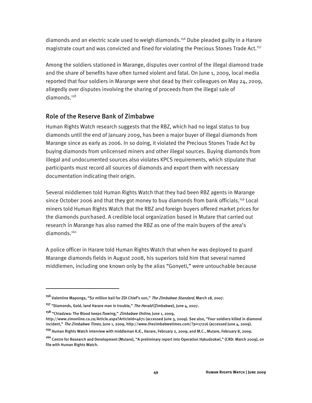diamonds and an electric scale used to weigh diamonds.<sup>156</sup> Dube pleaded guilty in a Harare magistrate court and was convicted and fined for violating the Precious Stones Trade Act.<sup>157</sup>

Among the soldiers stationed in Marange, disputes over control of the illegal diamond trade and the share of benefits have often turned violent and fatal. On June 1, 2009, local media reported that four soldiers in Marange were shot dead by their colleagues on May 24, 2009, allegedly over disputes involving the sharing of proceeds from the illegal sale of diamonds.<sup>158</sup>

#### Role of the Reserve Bank of Zimbabwe

Human Rights Watch research suggests that the RBZ, which had no legal status to buy diamonds until the end of January 2009, has been a major buyer of illegal diamonds from Marange since as early as 2006. In so doing, it violated the Precious Stones Trade Act by buying diamonds from unlicensed miners and other illegal sources. Buying diamonds from illegal and undocumented sources also violates KPCS requirements, which stipulate that participants must record all sources of diamonds and export them with necessary documentation indicating their origin.

Several middlemen told Human Rights Watch that they had been RBZ agents in Marange since October 2006 and that they got money to buy diamonds from bank officials.<sup>159</sup> Local miners told Human Rights Watch that the RBZ and foreign buyers offered market prices for the diamonds purchased. A credible local organization based in Mutare that carried out research in Marange has also named the RBZ as one of the main buyers of the area's diamonds.<sup>160</sup>

A police officer in Harare told Human Rights Watch that when he was deployed to guard Marange diamonds fields in August 2008, his superiors told him that several named middlemen, including one known only by the alias "Gonyeti," were untouchable because

**<sup>156</sup>** Valentine Maponga, "\$2 million bail for ZDI Chief's son," The Zimbabwe Standard, March 18, 2007.

**<sup>157</sup>** "Diamonds, Gold, land Harare man in trouble," The Herald (Zimbabwe), June 4, 2007.

**<sup>158</sup>** "Chiadzwa: The Blood keeps flowing," Zimbabwe Online, June 1, 2009,

http://www.zimonline.co.za/Article.aspx?ArticleId=4671 (accessed June 3, 2009). See also, "Four soldiers killed in diamond incident," The Zimbabwe Times, June 1, 2009, http://www.thezimbabwetimes.com/?p=17216 (accessed June 4, 2009).

**<sup>159</sup>** Human Rights Watch interview with middleman K.K., Harare, February 2, 2009; and M.C., Mutare, February 8, 2009.

**<sup>160</sup>** Centre for Research and Development (Mutare), "A preliminary report into Operation Hakudzokwi," (CRD: March 2009), on file with Human Rights Watch.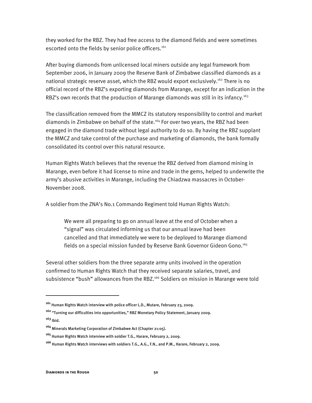they worked for the RBZ. They had free access to the diamond fields and were sometimes escorted onto the fields by senior police officers.<sup>161</sup>

After buying diamonds from unlicensed local miners outside any legal framework from September 2006, in January 2009 the Reserve Bank of Zimbabwe classified diamonds as a national strategic reserve asset, which the RBZ would export exclusively.<sup>162</sup> There is no official record of the RBZ's exporting diamonds from Marange, except for an indication in the RBZ's own records that the production of Marange diamonds was still in its infancy.<sup>163</sup>

The classification removed from the MMCZ its statutory responsibility to control and market diamonds in Zimbabwe on behalf of the state.164 For over two years, the RBZ had been engaged in the diamond trade without legal authority to do so. By having the RBZ supplant the MMCZ and take control of the purchase and marketing of diamonds, the bank formally consolidated its control over this natural resource.

Human Rights Watch believes that the revenue the RBZ derived from diamond mining in Marange, even before it had license to mine and trade in the gems, helped to underwrite the army's abusive activities in Marange, including the Chiadzwa massacres in October-November 2008.

A soldier from the ZNA's No.1 Commando Regiment told Human Rights Watch:

We were all preparing to go on annual leave at the end of October when a "signal" was circulated informing us that our annual leave had been cancelled and that immediately we were to be deployed to Marange diamond fields on a special mission funded by Reserve Bank Governor Gideon Gono.165

Several other soldiers from the three separate army units involved in the operation confirmed to Human Rights Watch that they received separate salaries, travel, and subsistence "bush" allowances from the RBZ.<sup>166</sup> Soldiers on mission in Marange were told

**<sup>161</sup>** Human Rights Watch interview with police officer L.D., Mutare, February 23, 2009.

**<sup>162</sup>** "Turning our difficulties into opportunities," RBZ Monetary Policy Statement, January 2009. **<sup>163</sup>** Ibid.

**<sup>164</sup>** Minerals Marketing Corporation of Zimbabwe Act (Chapter 21:05).

**<sup>165</sup>** Human Rights Watch interview with soldier T.G., Harare, February 2, 2009.

**<sup>166</sup>** Human Rights Watch interviews with soldiers T.G., A.G., F.N., and P.M., Harare, February 2, 2009.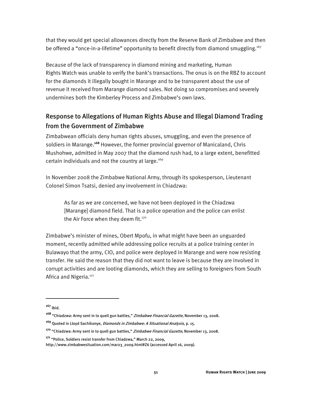that they would get special allowances directly from the Reserve Bank of Zimbabwe and then be offered a "once-in-a-lifetime" opportunity to benefit directly from diamond smuggling.<sup>167</sup>

Because of the lack of transparency in diamond mining and marketing, Human Rights Watch was unable to verify the bank's transactions. The onus is on the RBZ to account for the diamonds it illegally bought in Marange and to be transparent about the use of revenue it received from Marange diamond sales. Not doing so compromises and severely undermines both the Kimberley Process and Zimbabwe's own laws.

## Response to Allegations of Human Rights Abuse and Illegal Diamond Trading from the Government of Zimbabwe

Zimbabwean officials deny human rights abuses, smuggling, and even the presence of soldiers in Marange.**<sup>168</sup>** However, the former provincial governor of Manicaland, Chris Mushohwe, admitted in May 2007 that the diamond rush had, to a large extent, benefitted certain individuals and not the country at large.<sup>169</sup>

In November 2008 the Zimbabwe National Army, through its spokesperson, Lieutenant Colonel Simon Tsatsi, denied any involvement in Chiadzwa:

As far as we are concerned, we have not been deployed in the Chiadzwa [Marange] diamond field. That is a police operation and the police can enlist the Air Force when they deem fit.<sup>170</sup>

Zimbabwe's minister of mines, Obert Mpofu, in what might have been an unguarded moment, recently admitted while addressing police recruits at a police training center in Bulawayo that the army, CIO, and police were deployed in Marange and were now resisting transfer. He said the reason that they did not want to leave is because they are involved in corrupt activities and are looting diamonds, which they are selling to foreigners from South Africa and Nigeria.<sup>171</sup>

**<sup>167</sup>** Ibid.

**<sup>168</sup>** "Chiadzwa: Army sent in to quell gun battles," Zimbabwe Financial Gazette, November 13, 2008.

**<sup>169</sup>** Quoted in Lloyd Sachikonye, Diamonds in Zimbabwe: A Situational Analysis, p. 15.

**<sup>170</sup>** "Chiadzwa: Army sent in to quell gun battles," Zimbabwe Financial Gazette, November 13, 2008.

**<sup>171</sup>** "Police, Soldiers resist transfer from Chiadzwa," March 22, 2009,

http://www.zimbabwesituation.com/mar23\_2009.html#Z6 (accessed April 16, 2009).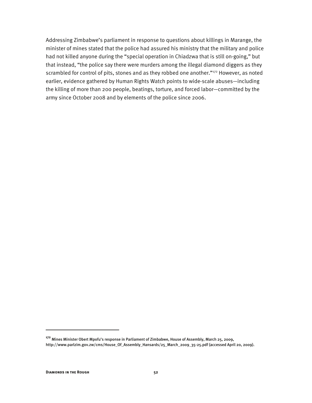Addressing Zimbabwe's parliament in response to questions about killings in Marange, the minister of mines stated that the police had assured his ministry that the military and police had not killed anyone during the "special operation in Chiadzwa that is still on-going," but that instead, "the police say there were murders among the illegal diamond diggers as they scrambled for control of pits, stones and as they robbed one another."<sup>172</sup> However, as noted earlier, evidence gathered by Human Rights Watch points to wide-scale abuses—including the killing of more than 200 people, beatings, torture, and forced labor—committed by the army since October 2008 and by elements of the police since 2006.

**<sup>172</sup>** Mines Minister Obert Mpofu's response in Parliament of Zimbabwe, House of Assembly, March 25, 2009, http://www.parlzim.gov.zw/cms/House\_Of\_Assembly\_Hansards/25\_March\_2009\_35-25.pdf (accessed April 20, 2009).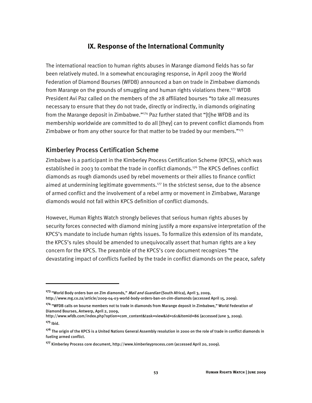#### **IX. Response of the International Community**

The international reaction to human rights abuses in Marange diamond fields has so far been relatively muted. In a somewhat encouraging response, in April 2009 the World Federation of Diamond Bourses (WFDB) announced a ban on trade in Zimbabwe diamonds from Marange on the grounds of smuggling and human rights violations there.<sup>173</sup> WFDB President Avi Paz called on the members of the 28 affiliated bourses "to take all measures necessary to ensure that they do not trade, directly or indirectly, in diamonds originating from the Marange deposit in Zimbabwe."<sup>174</sup> Paz further stated that "[t]he WFDB and its membership worldwide are committed to do all [they] can to prevent conflict diamonds from Zimbabwe or from any other source for that matter to be traded by our members."<sup>175</sup>

#### Kimberley Process Certification Scheme

Zimbabwe is a participant in the Kimberley Process Certification Scheme (KPCS), which was established in 2003 to combat the trade in conflict diamonds.<sup>176</sup> The KPCS defines conflict diamonds as rough diamonds used by rebel movements or their allies to finance conflict aimed at undermining legitimate governments.<sup>177</sup> In the strictest sense, due to the absence of armed conflict and the involvement of a rebel army or movement in Zimbabwe, Marange diamonds would not fall within KPCS definition of conflict diamonds.

However, Human Rights Watch strongly believes that serious human rights abuses by security forces connected with diamond mining justify a more expansive interpretation of the KPCS's mandate to include human rights issues. To formalize this extension of its mandate, the KPCS's rules should be amended to unequivocally assert that human rights are a key concern for the KPCS. The preamble of the KPCS's core document recognizes "the devastating impact of conflicts fuelled by the trade in conflict diamonds on the peace, safety

http://www.wfdb.com/index.php?option=com\_content&task=view&id=161&Itemid=86 (accessed June 3, 2009).

**<sup>173</sup>** "World Body orders ban on Zim diamonds," Mail and Guardian (South Africa), April 3, 2009, http://www.mg.co.za/article/2009-04-03-world-body-orders-ban-on-zim-diamonds (accessed April 15, 2009).

**<sup>174</sup>** "WFDB calls on bourse members not to trade in diamonds from Marange deposit in Zimbabwe," World Federation of Diamond Bourses, Antwerp, April 2, 2009,

**<sup>175</sup>** Ibid.

**<sup>176</sup>** The origin of the KPCS is a United Nations General Assembly resolution in 2000 on the role of trade in conflict diamonds in fueling armed conflict.

**<sup>177</sup>** Kimberley Process core document, http://www.kimberleyprocess.com (accessed April 20, 2009).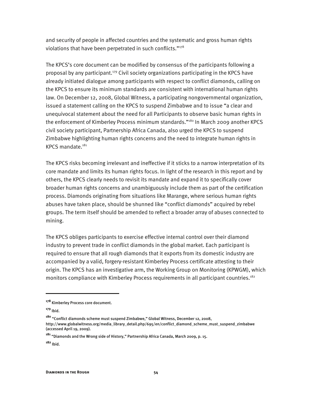and security of people in affected countries and the systematic and gross human rights violations that have been perpetrated in such conflicts." $178$ 

The KPCS's core document can be modified by consensus of the participants following a proposal by any participant.<sup>179</sup> Civil society organizations participating in the KPCS have already initiated dialogue among participants with respect to conflict diamonds, calling on the KPCS to ensure its minimum standards are consistent with international human rights law. On December 12, 2008, Global Witness, a participating nongovernmental organization, issued a statement calling on the KPCS to suspend Zimbabwe and to issue "a clear and unequivocal statement about the need for all Participants to observe basic human rights in the enforcement of Kimberley Process minimum standards."<sup>180</sup> In March 2009 another KPCS civil society participant, Partnership Africa Canada, also urged the KPCS to suspend Zimbabwe highlighting human rights concerns and the need to integrate human rights in KPCS mandate.<sup>181</sup>

The KPCS risks becoming irrelevant and ineffective if it sticks to a narrow interpretation of its core mandate and limits its human rights focus. In light of the research in this report and by others, the KPCS clearly needs to revisit its mandate and expand it to specifically cover broader human rights concerns and unambiguously include them as part of the certification process. Diamonds originating from situations like Marange, where serious human rights abuses have taken place, should be shunned like "conflict diamonds" acquired by rebel groups. The term itself should be amended to reflect a broader array of abuses connected to mining.

The KPCS obliges participants to exercise effective internal control over their diamond industry to prevent trade in conflict diamonds in the global market. Each participant is required to ensure that all rough diamonds that it exports from its domestic industry are accompanied by a valid, forgery-resistant Kimberley Process certificate attesting to their origin. The KPCS has an investigative arm, the Working Group on Monitoring (KPWGM), which monitors compliance with Kimberley Process requirements in all participant countries.<sup>182</sup>

**<sup>178</sup>** Kimberley Process core document.

**<sup>179</sup>** Ibid.

**<sup>180</sup>** "Conflict diamonds scheme must suspend Zimbabwe," Global Witness, December 12, 2008, http://www.globalwitness.org/media\_library\_detail.php/695/en/conflict\_diamond\_scheme\_must\_suspend\_zimbabwe (accessed April 19, 2009).

**<sup>181</sup>** "Diamonds and the Wrong side of History," Partnership Africa Canada, March 2009, p. 15.

**<sup>182</sup>** Ibid.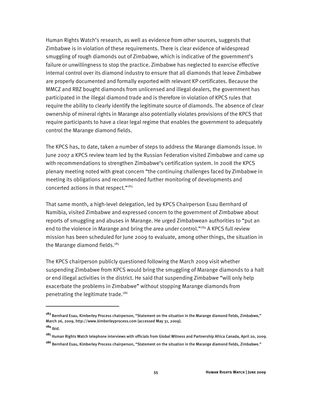Human Rights Watch's research, as well as evidence from other sources, suggests that Zimbabwe is in violation of these requirements. There is clear evidence of widespread smuggling of rough diamonds out of Zimbabwe, which is indicative of the government's failure or unwillingness to stop the practice. Zimbabwe has neglected to exercise effective internal control over its diamond industry to ensure that all diamonds that leave Zimbabwe are properly documented and formally exported with relevant KP certificates. Because the MMCZ and RBZ bought diamonds from unlicensed and illegal dealers, the government has participated in the illegal diamond trade and is therefore in violation of KPCS rules that require the ability to clearly identify the legitimate source of diamonds. The absence of clear ownership of mineral rights in Marange also potentially violates provisions of the KPCS that require participants to have a clear legal regime that enables the government to adequately control the Marange diamond fields.

The KPCS has, to date, taken a number of steps to address the Marange diamonds issue. In June 2007 a KPCS review team led by the Russian Federation visited Zimbabwe and came up with recommendations to strengthen Zimbabwe's certification system. In 2008 the KPCS plenary meeting noted with great concern "the continuing challenges faced by Zimbabwe in meeting its obligations and recommended further monitoring of developments and concerted actions in that respect."183

That same month, a high-level delegation, led by KPCS Chairperson Esau Bernhard of Namibia, visited Zimbabwe and expressed concern to the government of Zimbabwe about reports of smuggling and abuses in Marange. He urged Zimbabwean authorities to "put an end to the violence in Marange and bring the area under control."<sup>184</sup> A KPCS full review mission has been scheduled for June 2009 to evaluate, among other things, the situation in the Marange diamond fields. $185$ 

The KPCS chairperson publicly questioned following the March 2009 visit whether suspending Zimbabwe from KPCS would bring the smuggling of Marange diamonds to a halt or end illegal activities in the district. He said that suspending Zimbabwe "will only help exacerbate the problems in Zimbabwe" without stopping Marange diamonds from penetrating the legitimate trade.186

 $\overline{a}$ 

**<sup>183</sup>** Bernhard Esau, Kimberley Process chairperson, "Statement on the situation in the Marange diamond fields, Zimbabwe," March 26, 2009, http://www.kimberleyprocess.com (accessed May 31, 2009). **<sup>184</sup>** Ibid.

**<sup>185</sup>** Human Rights Watch telephone interviews with officials from Global Witness and Partnership Africa Canada, April 20, 2009.

**<sup>186</sup>** Bernhard Esau, Kimberley Process chairperson, "Statement on the situation in the Marange diamond fields, Zimbabwe."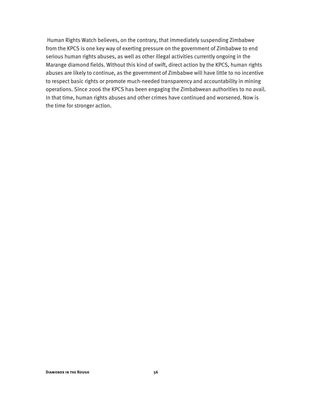Human Rights Watch believes, on the contrary, that immediately suspending Zimbabwe from the KPCS is one key way of exerting pressure on the government of Zimbabwe to end serious human rights abuses, as well as other illegal activities currently ongoing in the Marange diamond fields. Without this kind of swift, direct action by the KPCS, human rights abuses are likely to continue, as the government of Zimbabwe will have little to no incentive to respect basic rights or promote much-needed transparency and accountability in mining operations. Since 2006 the KPCS has been engaging the Zimbabwean authorities to no avail. In that time, human rights abuses and other crimes have continued and worsened. Now is the time for stronger action.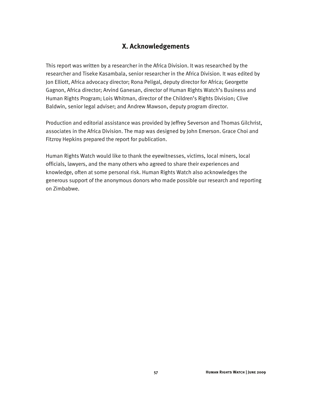#### **X. Acknowledgements**

This report was written by a researcher in the Africa Division. It was researched by the researcher and Tiseke Kasambala, senior researcher in the Africa Division. It was edited by Jon Elliott, Africa advocacy director; Rona Peligal, deputy director for Africa; Georgette Gagnon, Africa director; Arvind Ganesan, director of Human Rights Watch's Business and Human Rights Program; Lois Whitman, director of the Children's Rights Division; Clive Baldwin, senior legal adviser; and Andrew Mawson, deputy program director.

Production and editorial assistance was provided by Jeffrey Severson and Thomas Gilchrist, associates in the Africa Division. The map was designed by John Emerson. Grace Choi and Fitzroy Hepkins prepared the report for publication.

Human Rights Watch would like to thank the eyewitnesses, victims, local miners, local officials, lawyers, and the many others who agreed to share their experiences and knowledge, often at some personal risk. Human Rights Watch also acknowledges the generous support of the anonymous donors who made possible our research and reporting on Zimbabwe.